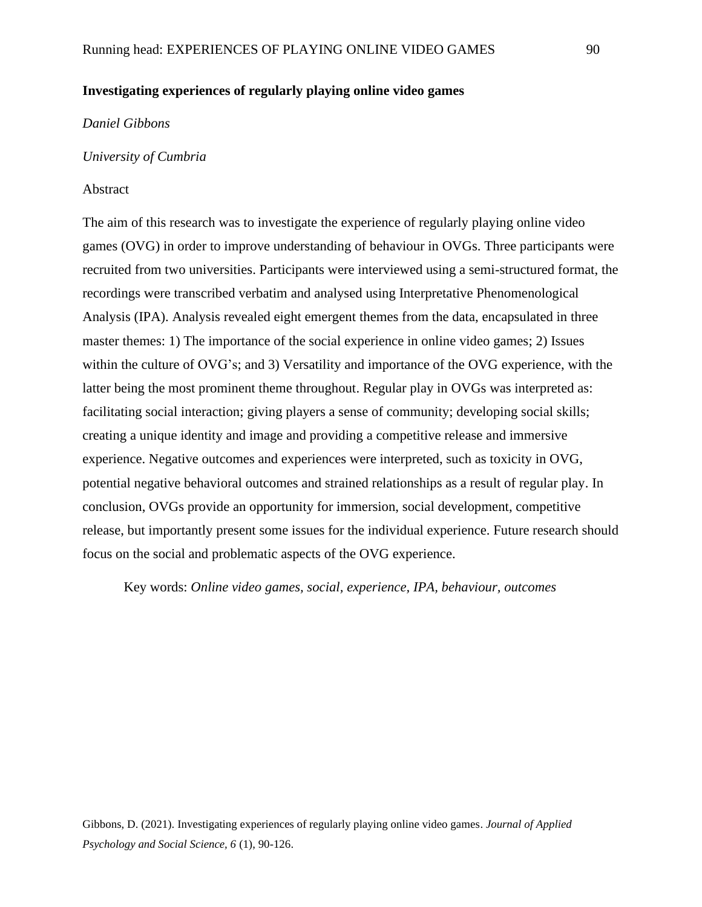# **Investigating experiences of regularly playing online video games**

#### *Daniel Gibbons*

#### *University of Cumbria*

#### Abstract

The aim of this research was to investigate the experience of regularly playing online video games (OVG) in order to improve understanding of behaviour in OVGs. Three participants were recruited from two universities. Participants were interviewed using a semi-structured format, the recordings were transcribed verbatim and analysed using Interpretative Phenomenological Analysis (IPA). Analysis revealed eight emergent themes from the data, encapsulated in three master themes: 1) The importance of the social experience in online video games; 2) Issues within the culture of OVG's; and 3) Versatility and importance of the OVG experience, with the latter being the most prominent theme throughout. Regular play in OVGs was interpreted as: facilitating social interaction; giving players a sense of community; developing social skills; creating a unique identity and image and providing a competitive release and immersive experience. Negative outcomes and experiences were interpreted, such as toxicity in OVG, potential negative behavioral outcomes and strained relationships as a result of regular play. In conclusion, OVGs provide an opportunity for immersion, social development, competitive release, but importantly present some issues for the individual experience. Future research should focus on the social and problematic aspects of the OVG experience.

Key words: *Online video games, social, experience, IPA, behaviour, outcomes*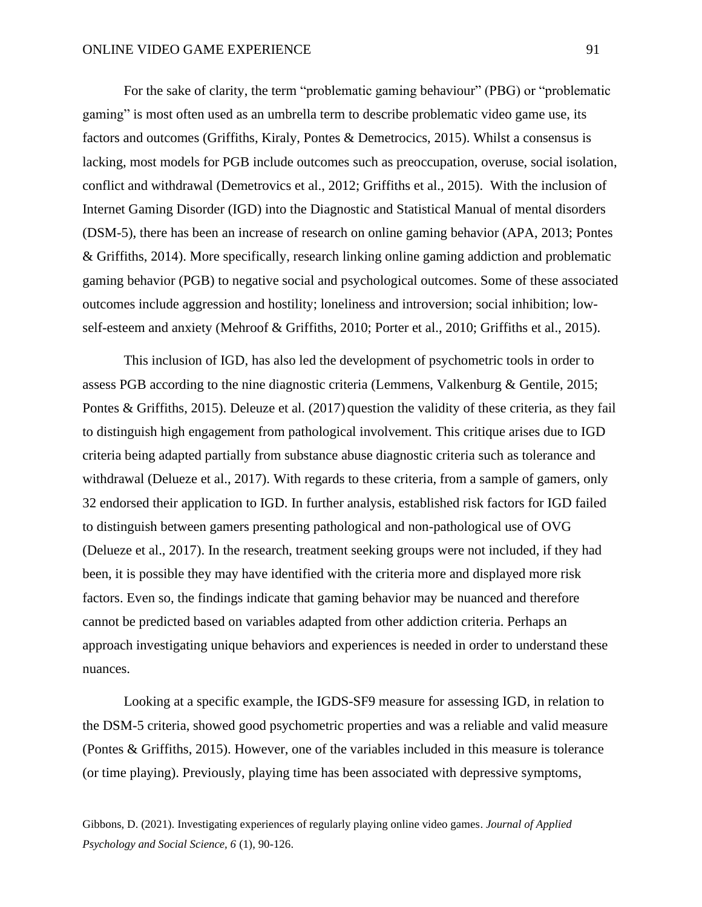For the sake of clarity, the term "problematic gaming behaviour" (PBG) or "problematic gaming" is most often used as an umbrella term to describe problematic video game use, its factors and outcomes (Griffiths, Kiraly, Pontes & Demetrocics, 2015). Whilst a consensus is lacking, most models for PGB include outcomes such as preoccupation, overuse, social isolation, conflict and withdrawal (Demetrovics et al., 2012; Griffiths et al., 2015). With the inclusion of Internet Gaming Disorder (IGD) into the Diagnostic and Statistical Manual of mental disorders (DSM-5), there has been an increase of research on online gaming behavior (APA, 2013; Pontes & Griffiths, 2014). More specifically, research linking online gaming addiction and problematic gaming behavior (PGB) to negative social and psychological outcomes. Some of these associated outcomes include aggression and hostility; loneliness and introversion; social inhibition; lowself-esteem and anxiety (Mehroof & Griffiths, 2010; Porter et al., 2010; Griffiths et al., 2015).

This inclusion of IGD, has also led the development of psychometric tools in order to assess PGB according to the nine diagnostic criteria (Lemmens, Valkenburg & Gentile, 2015; Pontes & Griffiths, 2015). Deleuze et al. (2017) question the validity of these criteria, as they fail to distinguish high engagement from pathological involvement. This critique arises due to IGD criteria being adapted partially from substance abuse diagnostic criteria such as tolerance and withdrawal (Delueze et al., 2017). With regards to these criteria, from a sample of gamers, only 32 endorsed their application to IGD. In further analysis, established risk factors for IGD failed to distinguish between gamers presenting pathological and non-pathological use of OVG (Delueze et al., 2017). In the research, treatment seeking groups were not included, if they had been, it is possible they may have identified with the criteria more and displayed more risk factors. Even so, the findings indicate that gaming behavior may be nuanced and therefore cannot be predicted based on variables adapted from other addiction criteria. Perhaps an approach investigating unique behaviors and experiences is needed in order to understand these nuances.

Looking at a specific example, the IGDS-SF9 measure for assessing IGD, in relation to the DSM-5 criteria, showed good psychometric properties and was a reliable and valid measure (Pontes & Griffiths, 2015). However, one of the variables included in this measure is tolerance (or time playing). Previously, playing time has been associated with depressive symptoms,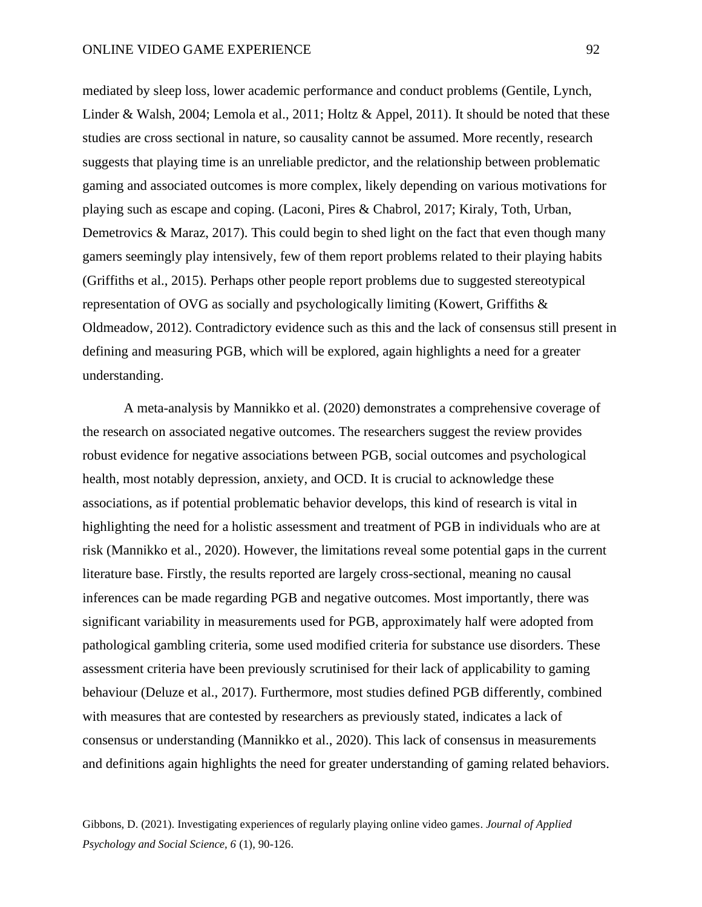mediated by sleep loss, lower academic performance and conduct problems (Gentile, Lynch, Linder & Walsh, 2004; Lemola et al., 2011; Holtz & Appel, 2011). It should be noted that these studies are cross sectional in nature, so causality cannot be assumed. More recently, research suggests that playing time is an unreliable predictor, and the relationship between problematic gaming and associated outcomes is more complex, likely depending on various motivations for playing such as escape and coping. (Laconi, Pires & Chabrol, 2017; Kiraly, Toth, Urban, Demetrovics & Maraz, 2017). This could begin to shed light on the fact that even though many gamers seemingly play intensively, few of them report problems related to their playing habits (Griffiths et al., 2015). Perhaps other people report problems due to suggested stereotypical representation of OVG as socially and psychologically limiting (Kowert, Griffiths & Oldmeadow, 2012). Contradictory evidence such as this and the lack of consensus still present in defining and measuring PGB, which will be explored, again highlights a need for a greater understanding.

A meta-analysis by Mannikko et al. (2020) demonstrates a comprehensive coverage of the research on associated negative outcomes. The researchers suggest the review provides robust evidence for negative associations between PGB, social outcomes and psychological health, most notably depression, anxiety, and OCD. It is crucial to acknowledge these associations, as if potential problematic behavior develops, this kind of research is vital in highlighting the need for a holistic assessment and treatment of PGB in individuals who are at risk (Mannikko et al., 2020). However, the limitations reveal some potential gaps in the current literature base. Firstly, the results reported are largely cross-sectional, meaning no causal inferences can be made regarding PGB and negative outcomes. Most importantly, there was significant variability in measurements used for PGB, approximately half were adopted from pathological gambling criteria, some used modified criteria for substance use disorders. These assessment criteria have been previously scrutinised for their lack of applicability to gaming behaviour (Deluze et al., 2017). Furthermore, most studies defined PGB differently, combined with measures that are contested by researchers as previously stated, indicates a lack of consensus or understanding (Mannikko et al., 2020). This lack of consensus in measurements and definitions again highlights the need for greater understanding of gaming related behaviors.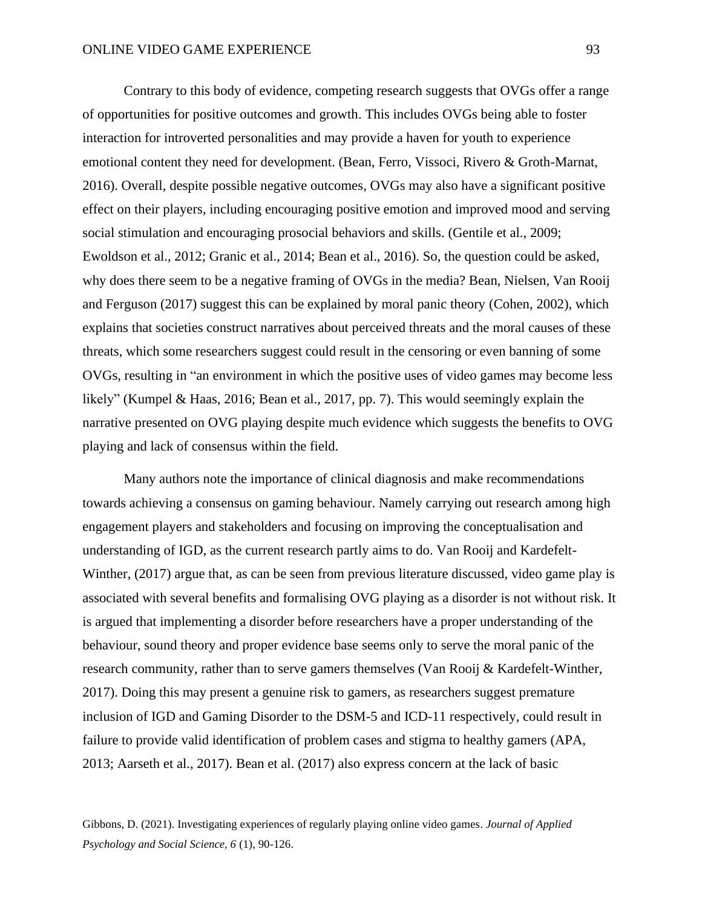Contrary to this body of evidence, competing research suggests that OVGs offer a range of opportunities for positive outcomes and growth. This includes OVGs being able to foster interaction for introverted personalities and may provide a haven for youth to experience emotional content they need for development. (Bean, Ferro, Vissoci, Rivero & Groth-Marnat, 2016). Overall, despite possible negative outcomes, OVGs may also have a significant positive effect on their players, including encouraging positive emotion and improved mood and serving social stimulation and encouraging prosocial behaviors and skills. (Gentile et al., 2009; Ewoldson et al., 2012; Granic et al., 2014; Bean et al., 2016). So, the question could be asked, why does there seem to be a negative framing of OVGs in the media? Bean, Nielsen, Van Rooij and Ferguson (2017) suggest this can be explained by moral panic theory (Cohen, 2002), which explains that societies construct narratives about perceived threats and the moral causes of these threats, which some researchers suggest could result in the censoring or even banning of some OVGs, resulting in "an environment in which the positive uses of video games may become less likely" (Kumpel & Haas, 2016; Bean et al., 2017, pp. 7). This would seemingly explain the narrative presented on OVG playing despite much evidence which suggests the benefits to OVG playing and lack of consensus within the field.

Many authors note the importance of clinical diagnosis and make recommendations towards achieving a consensus on gaming behaviour. Namely carrying out research among high engagement players and stakeholders and focusing on improving the conceptualisation and understanding of IGD, as the current research partly aims to do. Van Rooij and Kardefelt-Winther, (2017) argue that, as can be seen from previous literature discussed, video game play is associated with several benefits and formalising OVG playing as a disorder is not without risk. It is argued that implementing a disorder before researchers have a proper understanding of the behaviour, sound theory and proper evidence base seems only to serve the moral panic of the research community, rather than to serve gamers themselves (Van Rooij & Kardefelt-Winther, 2017). Doing this may present a genuine risk to gamers, as researchers suggest premature inclusion of IGD and Gaming Disorder to the DSM-5 and ICD-11 respectively, could result in failure to provide valid identification of problem cases and stigma to healthy gamers (APA, 2013; Aarseth et al., 2017). Bean et al. (2017) also express concern at the lack of basic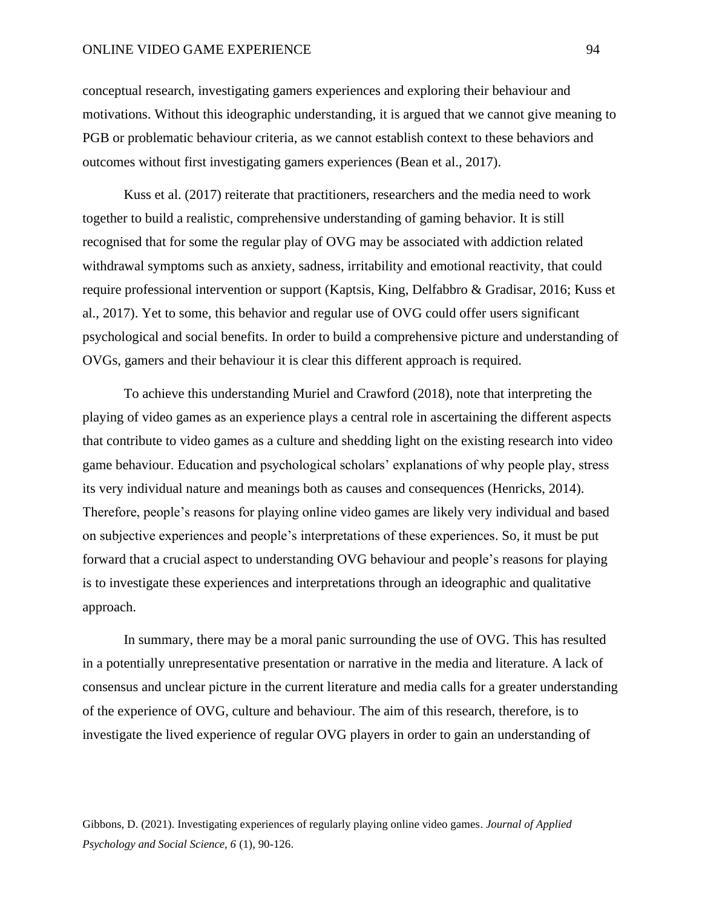#### ONLINE VIDEO GAME EXPERIENCE 94

conceptual research, investigating gamers experiences and exploring their behaviour and motivations. Without this ideographic understanding, it is argued that we cannot give meaning to PGB or problematic behaviour criteria, as we cannot establish context to these behaviors and outcomes without first investigating gamers experiences (Bean et al., 2017).

Kuss et al. (2017) reiterate that practitioners, researchers and the media need to work together to build a realistic, comprehensive understanding of gaming behavior. It is still recognised that for some the regular play of OVG may be associated with addiction related withdrawal symptoms such as anxiety, sadness, irritability and emotional reactivity, that could require professional intervention or support (Kaptsis, King, Delfabbro & Gradisar, 2016; Kuss et al., 2017). Yet to some, this behavior and regular use of OVG could offer users significant psychological and social benefits. In order to build a comprehensive picture and understanding of OVGs, gamers and their behaviour it is clear this different approach is required.

To achieve this understanding Muriel and Crawford (2018), note that interpreting the playing of video games as an experience plays a central role in ascertaining the different aspects that contribute to video games as a culture and shedding light on the existing research into video game behaviour. Education and psychological scholars' explanations of why people play, stress its very individual nature and meanings both as causes and consequences (Henricks, 2014). Therefore, people's reasons for playing online video games are likely very individual and based on subjective experiences and people's interpretations of these experiences. So, it must be put forward that a crucial aspect to understanding OVG behaviour and people's reasons for playing is to investigate these experiences and interpretations through an ideographic and qualitative approach.

In summary, there may be a moral panic surrounding the use of OVG. This has resulted in a potentially unrepresentative presentation or narrative in the media and literature. A lack of consensus and unclear picture in the current literature and media calls for a greater understanding of the experience of OVG, culture and behaviour. The aim of this research, therefore, is to investigate the lived experience of regular OVG players in order to gain an understanding of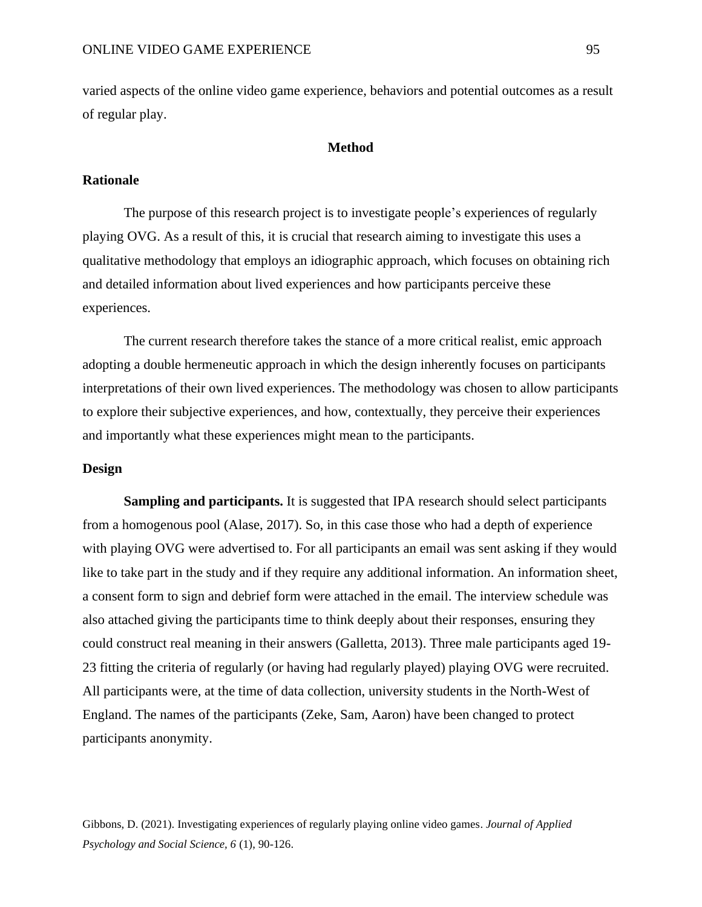varied aspects of the online video game experience, behaviors and potential outcomes as a result of regular play.

## **Method**

# **Rationale**

The purpose of this research project is to investigate people's experiences of regularly playing OVG. As a result of this, it is crucial that research aiming to investigate this uses a qualitative methodology that employs an idiographic approach, which focuses on obtaining rich and detailed information about lived experiences and how participants perceive these experiences.

The current research therefore takes the stance of a more critical realist, emic approach adopting a double hermeneutic approach in which the design inherently focuses on participants interpretations of their own lived experiences. The methodology was chosen to allow participants to explore their subjective experiences, and how, contextually, they perceive their experiences and importantly what these experiences might mean to the participants.

#### **Design**

**Sampling and participants.** It is suggested that IPA research should select participants from a homogenous pool (Alase, 2017). So, in this case those who had a depth of experience with playing OVG were advertised to. For all participants an email was sent asking if they would like to take part in the study and if they require any additional information. An information sheet, a consent form to sign and debrief form were attached in the email. The interview schedule was also attached giving the participants time to think deeply about their responses, ensuring they could construct real meaning in their answers (Galletta, 2013). Three male participants aged 19- 23 fitting the criteria of regularly (or having had regularly played) playing OVG were recruited. All participants were, at the time of data collection, university students in the North-West of England. The names of the participants (Zeke, Sam, Aaron) have been changed to protect participants anonymity.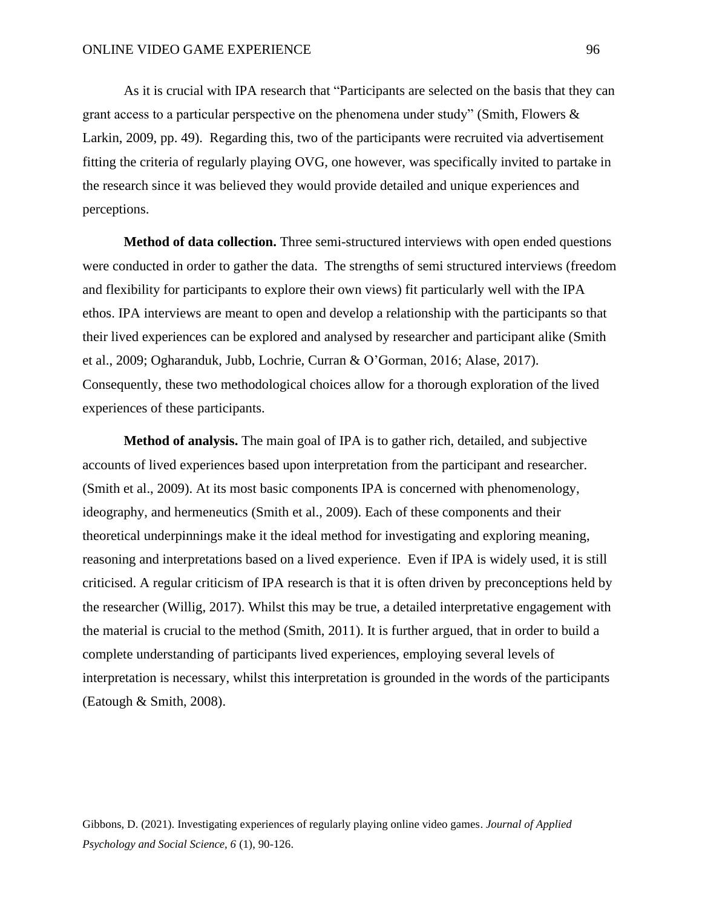As it is crucial with IPA research that "Participants are selected on the basis that they can grant access to a particular perspective on the phenomena under study" (Smith, Flowers  $\&$ Larkin, 2009, pp. 49). Regarding this, two of the participants were recruited via advertisement fitting the criteria of regularly playing OVG, one however, was specifically invited to partake in the research since it was believed they would provide detailed and unique experiences and perceptions.

**Method of data collection.** Three semi-structured interviews with open ended questions were conducted in order to gather the data. The strengths of semi structured interviews (freedom and flexibility for participants to explore their own views) fit particularly well with the IPA ethos. IPA interviews are meant to open and develop a relationship with the participants so that their lived experiences can be explored and analysed by researcher and participant alike (Smith et al., 2009; Ogharanduk, Jubb, Lochrie, Curran & O'Gorman, 2016; Alase, 2017). Consequently, these two methodological choices allow for a thorough exploration of the lived experiences of these participants.

**Method of analysis.** The main goal of IPA is to gather rich, detailed, and subjective accounts of lived experiences based upon interpretation from the participant and researcher. (Smith et al., 2009). At its most basic components IPA is concerned with phenomenology, ideography, and hermeneutics (Smith et al., 2009). Each of these components and their theoretical underpinnings make it the ideal method for investigating and exploring meaning, reasoning and interpretations based on a lived experience. Even if IPA is widely used, it is still criticised. A regular criticism of IPA research is that it is often driven by preconceptions held by the researcher (Willig, 2017). Whilst this may be true, a detailed interpretative engagement with the material is crucial to the method (Smith, 2011). It is further argued, that in order to build a complete understanding of participants lived experiences, employing several levels of interpretation is necessary, whilst this interpretation is grounded in the words of the participants (Eatough & Smith, 2008).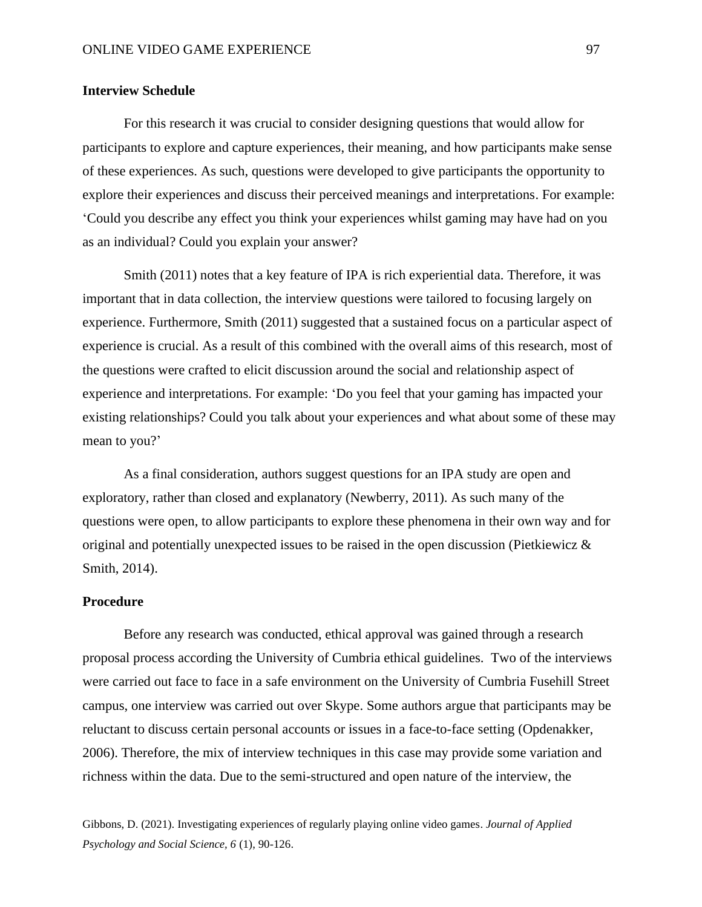## **Interview Schedule**

For this research it was crucial to consider designing questions that would allow for participants to explore and capture experiences, their meaning, and how participants make sense of these experiences. As such, questions were developed to give participants the opportunity to explore their experiences and discuss their perceived meanings and interpretations. For example: 'Could you describe any effect you think your experiences whilst gaming may have had on you as an individual? Could you explain your answer?

Smith (2011) notes that a key feature of IPA is rich experiential data. Therefore, it was important that in data collection, the interview questions were tailored to focusing largely on experience. Furthermore, Smith (2011) suggested that a sustained focus on a particular aspect of experience is crucial. As a result of this combined with the overall aims of this research, most of the questions were crafted to elicit discussion around the social and relationship aspect of experience and interpretations. For example: 'Do you feel that your gaming has impacted your existing relationships? Could you talk about your experiences and what about some of these may mean to you?'

As a final consideration, authors suggest questions for an IPA study are open and exploratory, rather than closed and explanatory (Newberry, 2011). As such many of the questions were open, to allow participants to explore these phenomena in their own way and for original and potentially unexpected issues to be raised in the open discussion (Pietkiewicz & Smith, 2014).

## **Procedure**

Before any research was conducted, ethical approval was gained through a research proposal process according the University of Cumbria ethical guidelines. Two of the interviews were carried out face to face in a safe environment on the University of Cumbria Fusehill Street campus, one interview was carried out over Skype. Some authors argue that participants may be reluctant to discuss certain personal accounts or issues in a face-to-face setting (Opdenakker, 2006). Therefore, the mix of interview techniques in this case may provide some variation and richness within the data. Due to the semi-structured and open nature of the interview, the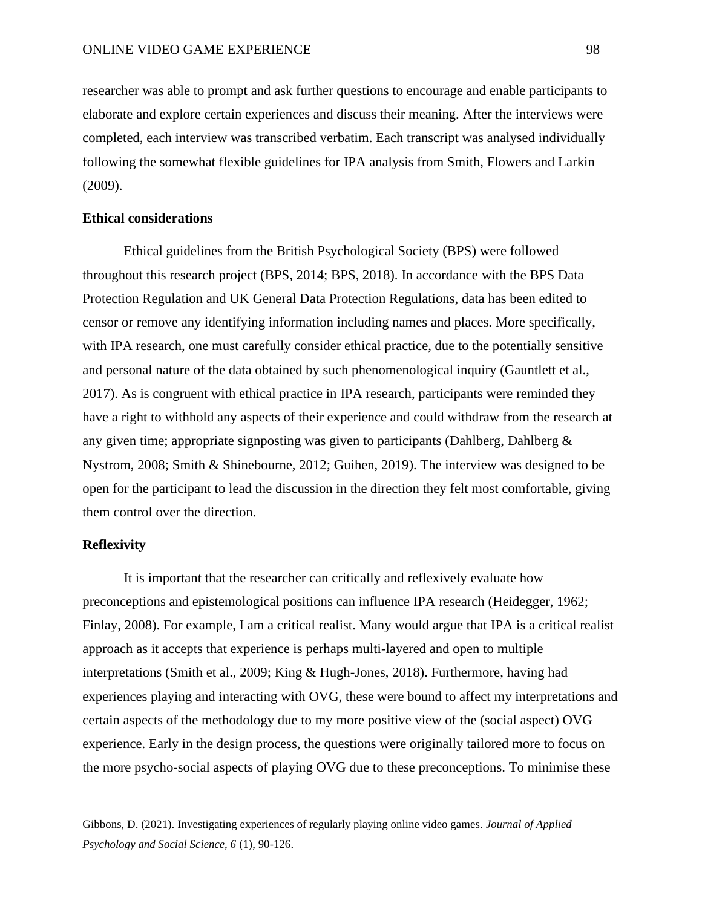researcher was able to prompt and ask further questions to encourage and enable participants to elaborate and explore certain experiences and discuss their meaning. After the interviews were completed, each interview was transcribed verbatim. Each transcript was analysed individually following the somewhat flexible guidelines for IPA analysis from Smith, Flowers and Larkin (2009).

## **Ethical considerations**

Ethical guidelines from the British Psychological Society (BPS) were followed throughout this research project (BPS, 2014; BPS, 2018). In accordance with the BPS Data Protection Regulation and UK General Data Protection Regulations, data has been edited to censor or remove any identifying information including names and places. More specifically, with IPA research, one must carefully consider ethical practice, due to the potentially sensitive and personal nature of the data obtained by such phenomenological inquiry (Gauntlett et al., 2017). As is congruent with ethical practice in IPA research, participants were reminded they have a right to withhold any aspects of their experience and could withdraw from the research at any given time; appropriate signposting was given to participants (Dahlberg, Dahlberg  $\&$ Nystrom, 2008; Smith & Shinebourne, 2012; Guihen, 2019). The interview was designed to be open for the participant to lead the discussion in the direction they felt most comfortable, giving them control over the direction.

#### **Reflexivity**

It is important that the researcher can critically and reflexively evaluate how preconceptions and epistemological positions can influence IPA research (Heidegger, 1962; Finlay, 2008). For example, I am a critical realist. Many would argue that IPA is a critical realist approach as it accepts that experience is perhaps multi-layered and open to multiple interpretations (Smith et al., 2009; King & Hugh-Jones, 2018). Furthermore, having had experiences playing and interacting with OVG, these were bound to affect my interpretations and certain aspects of the methodology due to my more positive view of the (social aspect) OVG experience. Early in the design process, the questions were originally tailored more to focus on the more psycho-social aspects of playing OVG due to these preconceptions. To minimise these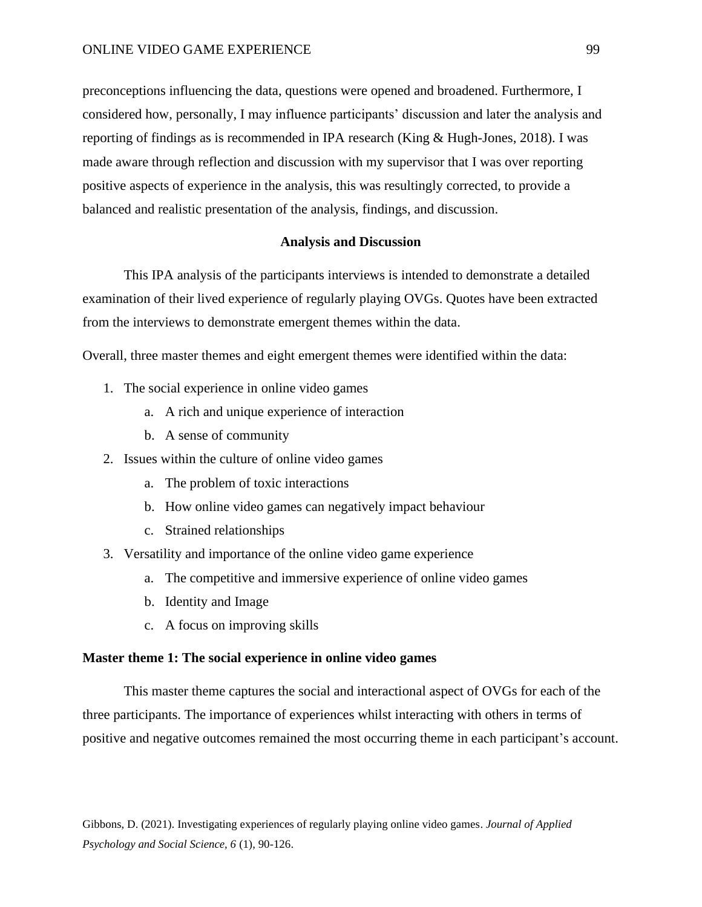#### ONLINE VIDEO GAME EXPERIENCE 99

preconceptions influencing the data, questions were opened and broadened. Furthermore, I considered how, personally, I may influence participants' discussion and later the analysis and reporting of findings as is recommended in IPA research (King & Hugh-Jones, 2018). I was made aware through reflection and discussion with my supervisor that I was over reporting positive aspects of experience in the analysis, this was resultingly corrected, to provide a balanced and realistic presentation of the analysis, findings, and discussion.

## **Analysis and Discussion**

This IPA analysis of the participants interviews is intended to demonstrate a detailed examination of their lived experience of regularly playing OVGs. Quotes have been extracted from the interviews to demonstrate emergent themes within the data.

Overall, three master themes and eight emergent themes were identified within the data:

- 1. The social experience in online video games
	- a. A rich and unique experience of interaction
	- b. A sense of community
- 2. Issues within the culture of online video games
	- a. The problem of toxic interactions
	- b. How online video games can negatively impact behaviour
	- c. Strained relationships
- 3. Versatility and importance of the online video game experience
	- a. The competitive and immersive experience of online video games
	- b. Identity and Image
	- c. A focus on improving skills

# **Master theme 1: The social experience in online video games**

This master theme captures the social and interactional aspect of OVGs for each of the three participants. The importance of experiences whilst interacting with others in terms of positive and negative outcomes remained the most occurring theme in each participant's account.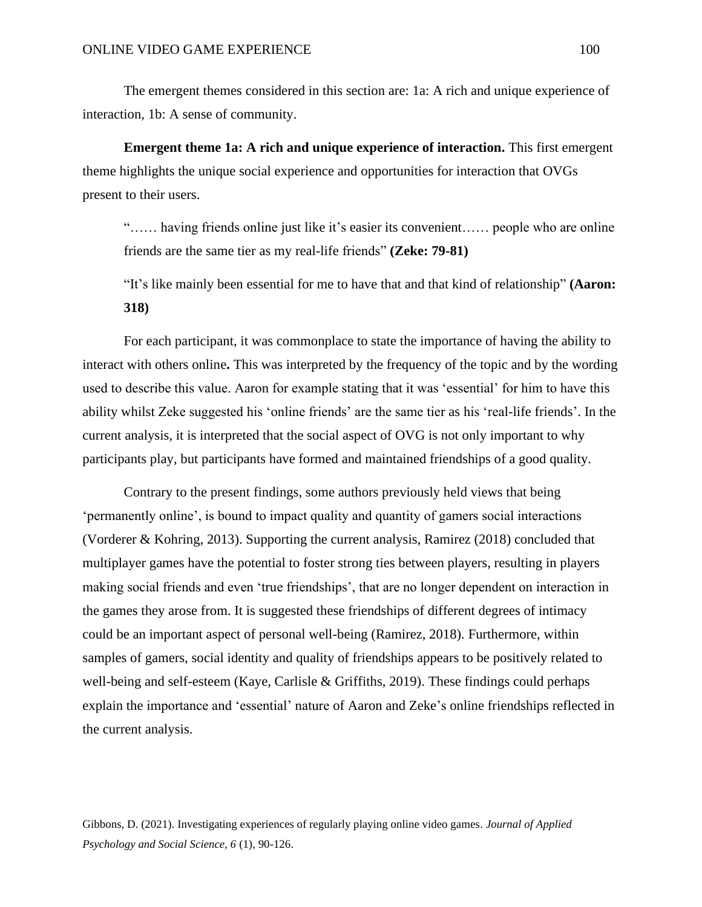The emergent themes considered in this section are: 1a: A rich and unique experience of interaction, 1b: A sense of community.

**Emergent theme 1a: A rich and unique experience of interaction.** This first emergent theme highlights the unique social experience and opportunities for interaction that OVGs present to their users.

"…… having friends online just like it's easier its convenient…… people who are online friends are the same tier as my real-life friends" **(Zeke: 79-81)**

"It's like mainly been essential for me to have that and that kind of relationship" **(Aaron: 318)**

For each participant, it was commonplace to state the importance of having the ability to interact with others online**.** This was interpreted by the frequency of the topic and by the wording used to describe this value. Aaron for example stating that it was 'essential' for him to have this ability whilst Zeke suggested his 'online friends' are the same tier as his 'real-life friends'. In the current analysis, it is interpreted that the social aspect of OVG is not only important to why participants play, but participants have formed and maintained friendships of a good quality.

Contrary to the present findings, some authors previously held views that being 'permanently online', is bound to impact quality and quantity of gamers social interactions (Vorderer & Kohring, 2013). Supporting the current analysis, Ramirez (2018) concluded that multiplayer games have the potential to foster strong ties between players, resulting in players making social friends and even 'true friendships', that are no longer dependent on interaction in the games they arose from. It is suggested these friendships of different degrees of intimacy could be an important aspect of personal well-being (Ramirez, 2018). Furthermore, within samples of gamers, social identity and quality of friendships appears to be positively related to well-being and self-esteem (Kaye, Carlisle & Griffiths, 2019). These findings could perhaps explain the importance and 'essential' nature of Aaron and Zeke's online friendships reflected in the current analysis.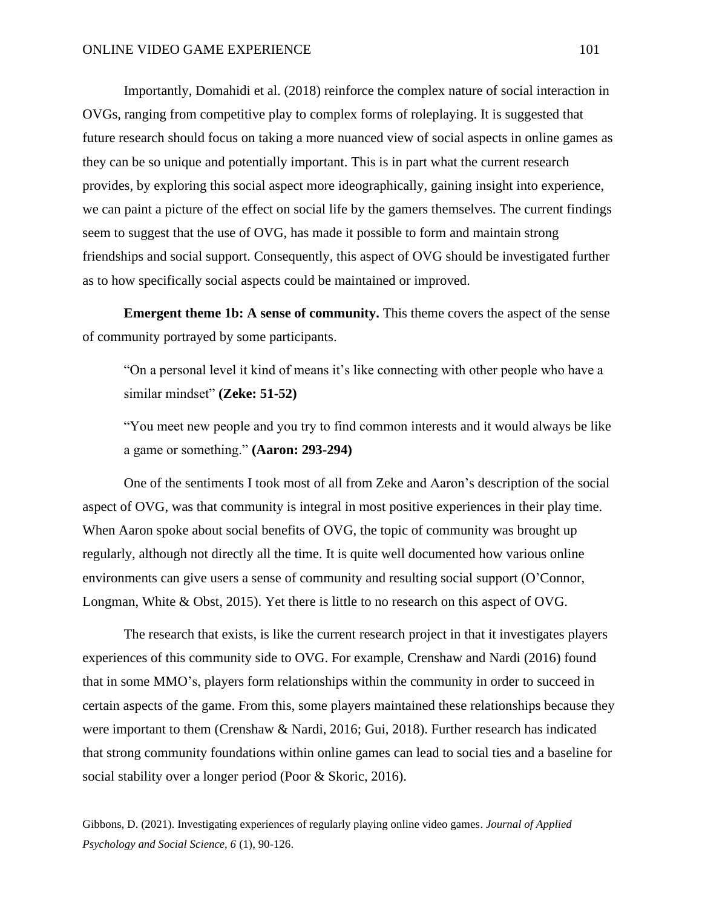Importantly, Domahidi et al. (2018) reinforce the complex nature of social interaction in OVGs, ranging from competitive play to complex forms of roleplaying. It is suggested that future research should focus on taking a more nuanced view of social aspects in online games as they can be so unique and potentially important. This is in part what the current research provides, by exploring this social aspect more ideographically, gaining insight into experience, we can paint a picture of the effect on social life by the gamers themselves. The current findings seem to suggest that the use of OVG, has made it possible to form and maintain strong friendships and social support. Consequently, this aspect of OVG should be investigated further as to how specifically social aspects could be maintained or improved.

**Emergent theme 1b: A sense of community.** This theme covers the aspect of the sense of community portrayed by some participants.

"On a personal level it kind of means it's like connecting with other people who have a similar mindset" **(Zeke: 51-52)**

"You meet new people and you try to find common interests and it would always be like a game or something." **(Aaron: 293-294)**

One of the sentiments I took most of all from Zeke and Aaron's description of the social aspect of OVG, was that community is integral in most positive experiences in their play time. When Aaron spoke about social benefits of OVG, the topic of community was brought up regularly, although not directly all the time. It is quite well documented how various online environments can give users a sense of community and resulting social support (O'Connor, Longman, White & Obst, 2015). Yet there is little to no research on this aspect of OVG.

The research that exists, is like the current research project in that it investigates players experiences of this community side to OVG. For example, Crenshaw and Nardi (2016) found that in some MMO's, players form relationships within the community in order to succeed in certain aspects of the game. From this, some players maintained these relationships because they were important to them (Crenshaw & Nardi, 2016; Gui, 2018). Further research has indicated that strong community foundations within online games can lead to social ties and a baseline for social stability over a longer period (Poor & Skoric, 2016).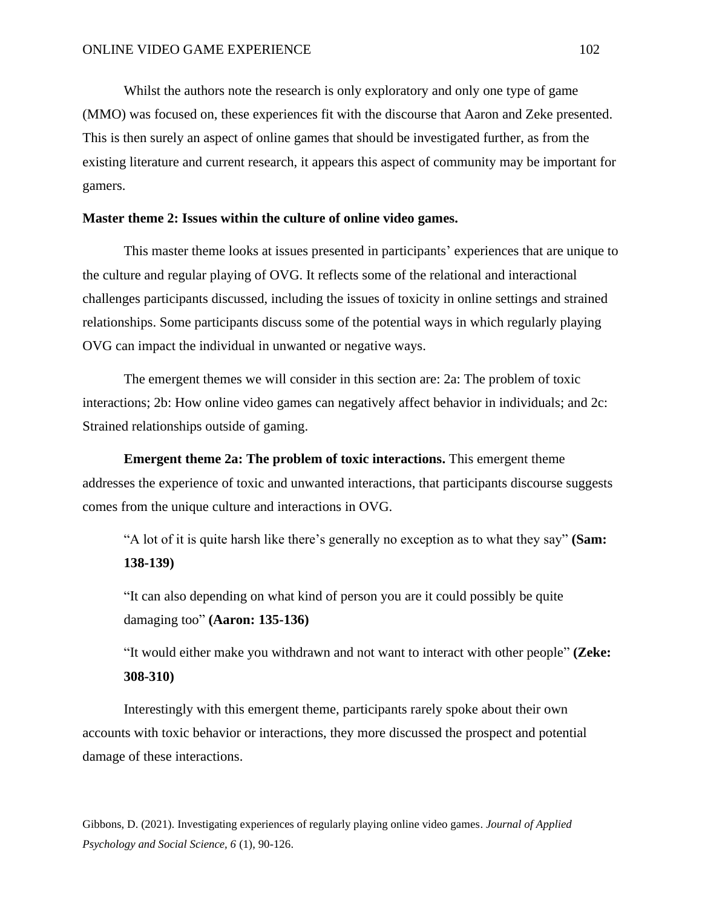Whilst the authors note the research is only exploratory and only one type of game (MMO) was focused on, these experiences fit with the discourse that Aaron and Zeke presented. This is then surely an aspect of online games that should be investigated further, as from the existing literature and current research, it appears this aspect of community may be important for gamers.

## **Master theme 2: Issues within the culture of online video games.**

This master theme looks at issues presented in participants' experiences that are unique to the culture and regular playing of OVG. It reflects some of the relational and interactional challenges participants discussed, including the issues of toxicity in online settings and strained relationships. Some participants discuss some of the potential ways in which regularly playing OVG can impact the individual in unwanted or negative ways.

The emergent themes we will consider in this section are: 2a: The problem of toxic interactions; 2b: How online video games can negatively affect behavior in individuals; and 2c: Strained relationships outside of gaming.

**Emergent theme 2a: The problem of toxic interactions.** This emergent theme addresses the experience of toxic and unwanted interactions, that participants discourse suggests comes from the unique culture and interactions in OVG.

"A lot of it is quite harsh like there's generally no exception as to what they say" **(Sam: 138-139)**

"It can also depending on what kind of person you are it could possibly be quite damaging too" **(Aaron: 135-136)**

"It would either make you withdrawn and not want to interact with other people" **(Zeke: 308-310)**

Interestingly with this emergent theme, participants rarely spoke about their own accounts with toxic behavior or interactions, they more discussed the prospect and potential damage of these interactions.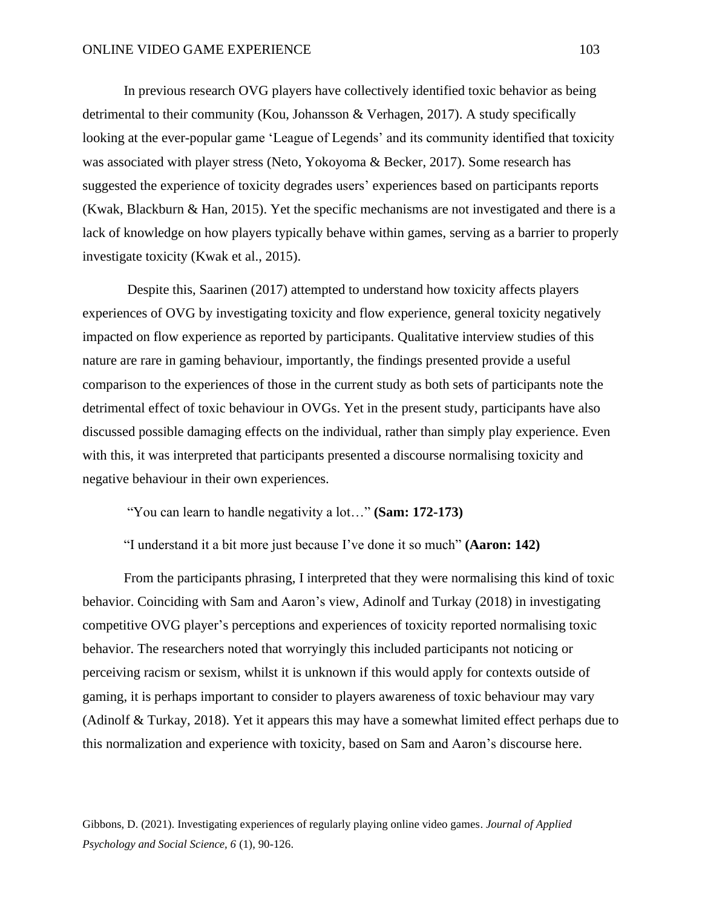In previous research OVG players have collectively identified toxic behavior as being detrimental to their community (Kou, Johansson & Verhagen, 2017). A study specifically looking at the ever-popular game 'League of Legends' and its community identified that toxicity was associated with player stress (Neto, Yokoyoma & Becker, 2017). Some research has suggested the experience of toxicity degrades users' experiences based on participants reports (Kwak, Blackburn & Han, 2015). Yet the specific mechanisms are not investigated and there is a lack of knowledge on how players typically behave within games, serving as a barrier to properly investigate toxicity (Kwak et al., 2015).

Despite this, Saarinen (2017) attempted to understand how toxicity affects players experiences of OVG by investigating toxicity and flow experience, general toxicity negatively impacted on flow experience as reported by participants. Qualitative interview studies of this nature are rare in gaming behaviour, importantly, the findings presented provide a useful comparison to the experiences of those in the current study as both sets of participants note the detrimental effect of toxic behaviour in OVGs. Yet in the present study, participants have also discussed possible damaging effects on the individual, rather than simply play experience. Even with this, it was interpreted that participants presented a discourse normalising toxicity and negative behaviour in their own experiences.

"You can learn to handle negativity a lot…" **(Sam: 172-173)**

"I understand it a bit more just because I've done it so much" **(Aaron: 142)**

From the participants phrasing, I interpreted that they were normalising this kind of toxic behavior. Coinciding with Sam and Aaron's view, Adinolf and Turkay (2018) in investigating competitive OVG player's perceptions and experiences of toxicity reported normalising toxic behavior. The researchers noted that worryingly this included participants not noticing or perceiving racism or sexism, whilst it is unknown if this would apply for contexts outside of gaming, it is perhaps important to consider to players awareness of toxic behaviour may vary (Adinolf & Turkay, 2018). Yet it appears this may have a somewhat limited effect perhaps due to this normalization and experience with toxicity, based on Sam and Aaron's discourse here.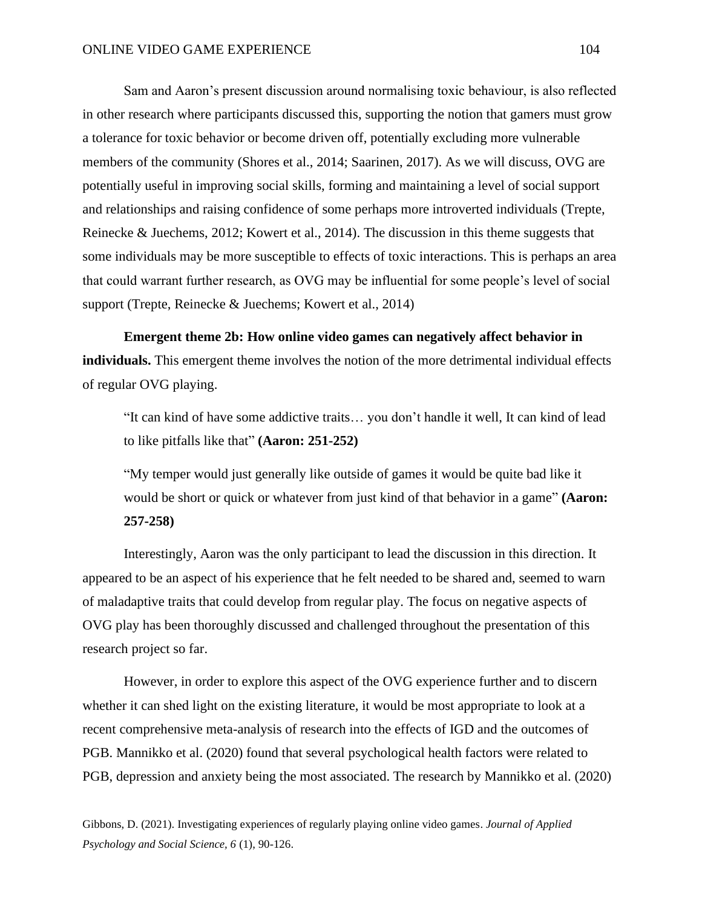Sam and Aaron's present discussion around normalising toxic behaviour, is also reflected in other research where participants discussed this, supporting the notion that gamers must grow a tolerance for toxic behavior or become driven off, potentially excluding more vulnerable members of the community (Shores et al., 2014; Saarinen, 2017). As we will discuss, OVG are potentially useful in improving social skills, forming and maintaining a level of social support and relationships and raising confidence of some perhaps more introverted individuals (Trepte, Reinecke & Juechems, 2012; Kowert et al., 2014). The discussion in this theme suggests that some individuals may be more susceptible to effects of toxic interactions. This is perhaps an area that could warrant further research, as OVG may be influential for some people's level of social support (Trepte, Reinecke & Juechems; Kowert et al., 2014)

**Emergent theme 2b: How online video games can negatively affect behavior in individuals.** This emergent theme involves the notion of the more detrimental individual effects of regular OVG playing.

"It can kind of have some addictive traits… you don't handle it well, It can kind of lead to like pitfalls like that" **(Aaron: 251-252)**

"My temper would just generally like outside of games it would be quite bad like it would be short or quick or whatever from just kind of that behavior in a game" **(Aaron: 257-258)**

Interestingly, Aaron was the only participant to lead the discussion in this direction. It appeared to be an aspect of his experience that he felt needed to be shared and, seemed to warn of maladaptive traits that could develop from regular play. The focus on negative aspects of OVG play has been thoroughly discussed and challenged throughout the presentation of this research project so far.

However, in order to explore this aspect of the OVG experience further and to discern whether it can shed light on the existing literature, it would be most appropriate to look at a recent comprehensive meta-analysis of research into the effects of IGD and the outcomes of PGB. Mannikko et al. (2020) found that several psychological health factors were related to PGB, depression and anxiety being the most associated. The research by Mannikko et al. (2020)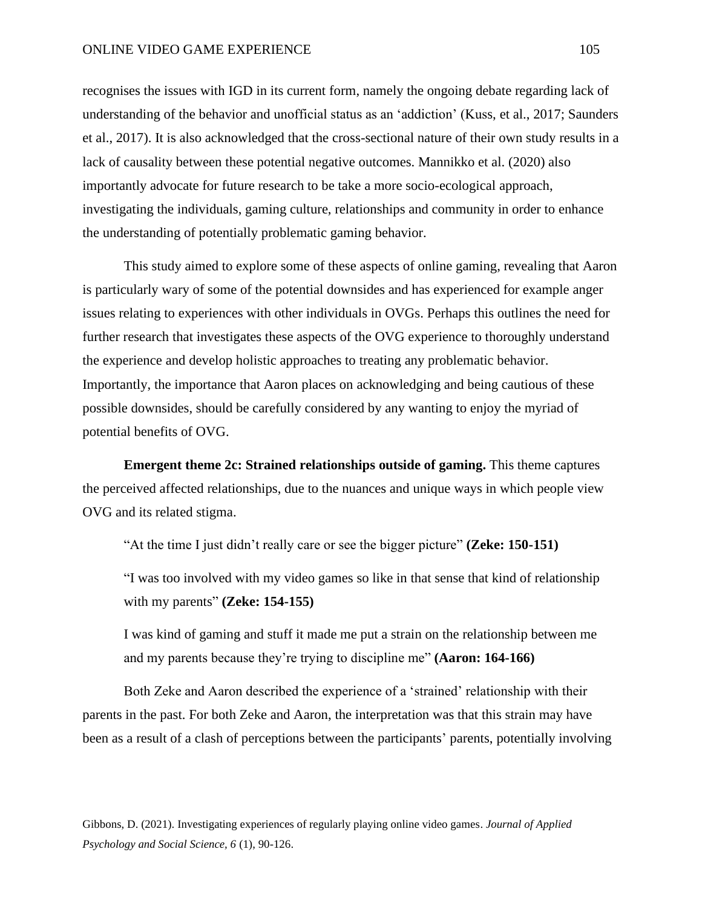#### ONLINE VIDEO GAME EXPERIENCE 105

recognises the issues with IGD in its current form, namely the ongoing debate regarding lack of understanding of the behavior and unofficial status as an 'addiction' (Kuss, et al., 2017; Saunders et al., 2017). It is also acknowledged that the cross-sectional nature of their own study results in a lack of causality between these potential negative outcomes. Mannikko et al. (2020) also importantly advocate for future research to be take a more socio-ecological approach, investigating the individuals, gaming culture, relationships and community in order to enhance the understanding of potentially problematic gaming behavior.

This study aimed to explore some of these aspects of online gaming, revealing that Aaron is particularly wary of some of the potential downsides and has experienced for example anger issues relating to experiences with other individuals in OVGs. Perhaps this outlines the need for further research that investigates these aspects of the OVG experience to thoroughly understand the experience and develop holistic approaches to treating any problematic behavior. Importantly, the importance that Aaron places on acknowledging and being cautious of these possible downsides, should be carefully considered by any wanting to enjoy the myriad of potential benefits of OVG.

**Emergent theme 2c: Strained relationships outside of gaming.** This theme captures the perceived affected relationships, due to the nuances and unique ways in which people view OVG and its related stigma.

"At the time I just didn't really care or see the bigger picture" **(Zeke: 150-151)**

"I was too involved with my video games so like in that sense that kind of relationship with my parents" **(Zeke: 154-155)**

I was kind of gaming and stuff it made me put a strain on the relationship between me and my parents because they're trying to discipline me" **(Aaron: 164-166)**

Both Zeke and Aaron described the experience of a 'strained' relationship with their parents in the past. For both Zeke and Aaron, the interpretation was that this strain may have been as a result of a clash of perceptions between the participants' parents, potentially involving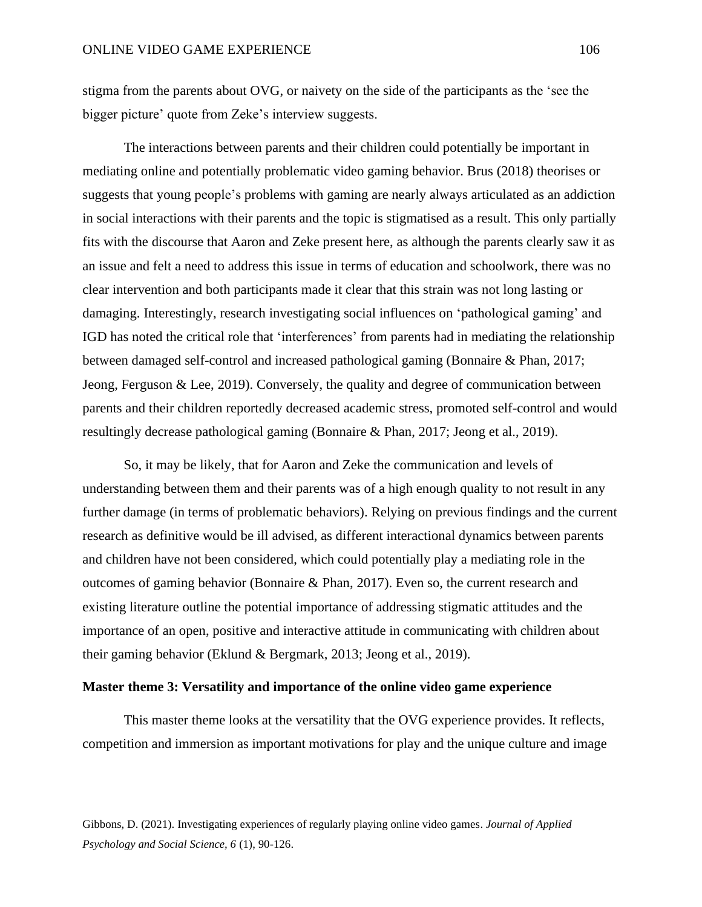stigma from the parents about OVG, or naivety on the side of the participants as the 'see the bigger picture' quote from Zeke's interview suggests.

The interactions between parents and their children could potentially be important in mediating online and potentially problematic video gaming behavior. Brus (2018) theorises or suggests that young people's problems with gaming are nearly always articulated as an addiction in social interactions with their parents and the topic is stigmatised as a result. This only partially fits with the discourse that Aaron and Zeke present here, as although the parents clearly saw it as an issue and felt a need to address this issue in terms of education and schoolwork, there was no clear intervention and both participants made it clear that this strain was not long lasting or damaging. Interestingly, research investigating social influences on 'pathological gaming' and IGD has noted the critical role that 'interferences' from parents had in mediating the relationship between damaged self-control and increased pathological gaming (Bonnaire & Phan, 2017; Jeong, Ferguson & Lee, 2019). Conversely, the quality and degree of communication between parents and their children reportedly decreased academic stress, promoted self-control and would resultingly decrease pathological gaming (Bonnaire & Phan, 2017; Jeong et al., 2019).

So, it may be likely, that for Aaron and Zeke the communication and levels of understanding between them and their parents was of a high enough quality to not result in any further damage (in terms of problematic behaviors). Relying on previous findings and the current research as definitive would be ill advised, as different interactional dynamics between parents and children have not been considered, which could potentially play a mediating role in the outcomes of gaming behavior (Bonnaire & Phan, 2017). Even so, the current research and existing literature outline the potential importance of addressing stigmatic attitudes and the importance of an open, positive and interactive attitude in communicating with children about their gaming behavior (Eklund & Bergmark, 2013; Jeong et al., 2019).

# **Master theme 3: Versatility and importance of the online video game experience**

This master theme looks at the versatility that the OVG experience provides. It reflects, competition and immersion as important motivations for play and the unique culture and image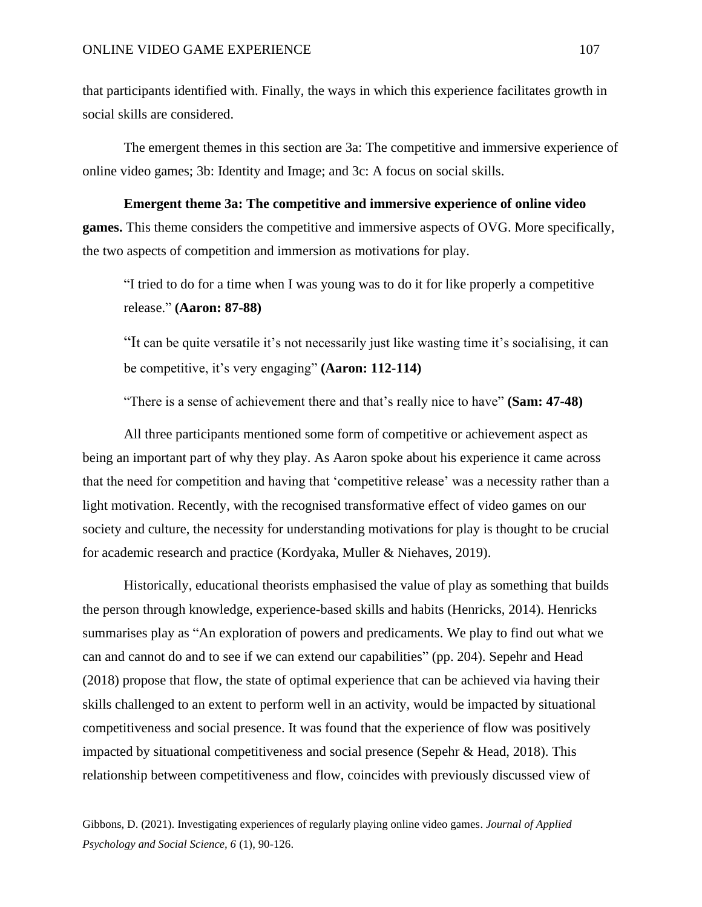that participants identified with. Finally, the ways in which this experience facilitates growth in social skills are considered.

The emergent themes in this section are 3a: The competitive and immersive experience of online video games; 3b: Identity and Image; and 3c: A focus on social skills.

**Emergent theme 3a: The competitive and immersive experience of online video games.** This theme considers the competitive and immersive aspects of OVG. More specifically, the two aspects of competition and immersion as motivations for play.

"I tried to do for a time when I was young was to do it for like properly a competitive release." **(Aaron: 87-88)**

"It can be quite versatile it's not necessarily just like wasting time it's socialising, it can be competitive, it's very engaging" **(Aaron: 112-114)**

"There is a sense of achievement there and that's really nice to have" **(Sam: 47-48)**

All three participants mentioned some form of competitive or achievement aspect as being an important part of why they play. As Aaron spoke about his experience it came across that the need for competition and having that 'competitive release' was a necessity rather than a light motivation. Recently, with the recognised transformative effect of video games on our society and culture, the necessity for understanding motivations for play is thought to be crucial for academic research and practice (Kordyaka, Muller & Niehaves, 2019).

Historically, educational theorists emphasised the value of play as something that builds the person through knowledge, experience-based skills and habits (Henricks, 2014). Henricks summarises play as "An exploration of powers and predicaments. We play to find out what we can and cannot do and to see if we can extend our capabilities" (pp. 204). Sepehr and Head (2018) propose that flow, the state of optimal experience that can be achieved via having their skills challenged to an extent to perform well in an activity, would be impacted by situational competitiveness and social presence. It was found that the experience of flow was positively impacted by situational competitiveness and social presence (Sepehr & Head, 2018). This relationship between competitiveness and flow, coincides with previously discussed view of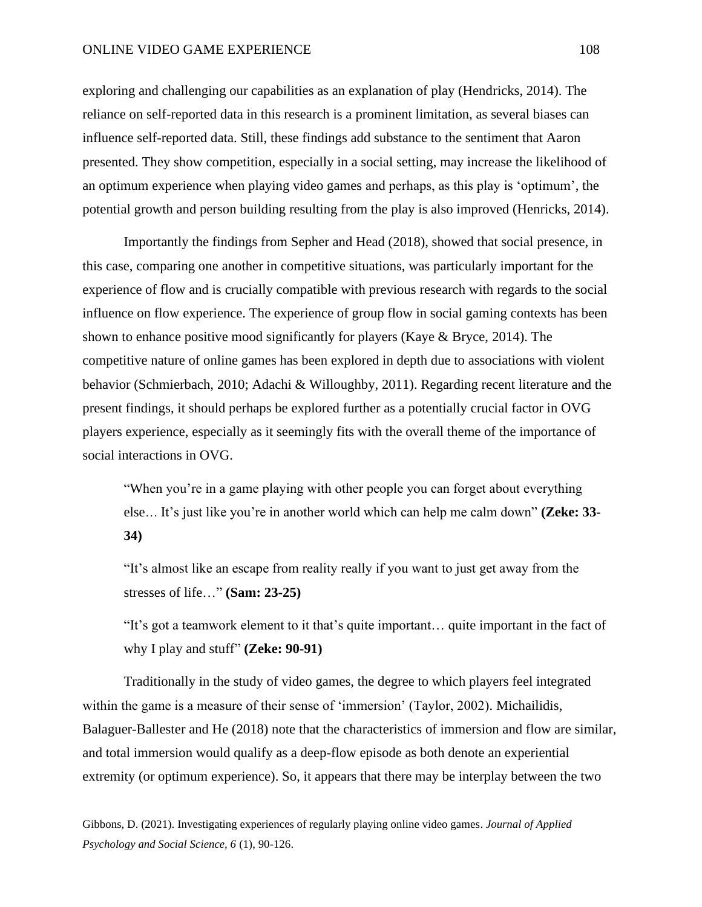## ONLINE VIDEO GAME EXPERIENCE 108

exploring and challenging our capabilities as an explanation of play (Hendricks, 2014). The reliance on self-reported data in this research is a prominent limitation, as several biases can influence self-reported data. Still, these findings add substance to the sentiment that Aaron presented. They show competition, especially in a social setting, may increase the likelihood of an optimum experience when playing video games and perhaps, as this play is 'optimum', the potential growth and person building resulting from the play is also improved (Henricks, 2014).

Importantly the findings from Sepher and Head (2018), showed that social presence, in this case, comparing one another in competitive situations, was particularly important for the experience of flow and is crucially compatible with previous research with regards to the social influence on flow experience. The experience of group flow in social gaming contexts has been shown to enhance positive mood significantly for players (Kaye & Bryce, 2014). The competitive nature of online games has been explored in depth due to associations with violent behavior (Schmierbach, 2010; Adachi & Willoughby, 2011). Regarding recent literature and the present findings, it should perhaps be explored further as a potentially crucial factor in OVG players experience, especially as it seemingly fits with the overall theme of the importance of social interactions in OVG.

"When you're in a game playing with other people you can forget about everything else… It's just like you're in another world which can help me calm down" **(Zeke: 33- 34)**

"It's almost like an escape from reality really if you want to just get away from the stresses of life…" **(Sam: 23-25)**

"It's got a teamwork element to it that's quite important… quite important in the fact of why I play and stuff" **(Zeke: 90-91)**

Traditionally in the study of video games, the degree to which players feel integrated within the game is a measure of their sense of 'immersion' (Taylor, 2002). Michailidis, Balaguer-Ballester and He (2018) note that the characteristics of immersion and flow are similar, and total immersion would qualify as a deep-flow episode as both denote an experiential extremity (or optimum experience). So, it appears that there may be interplay between the two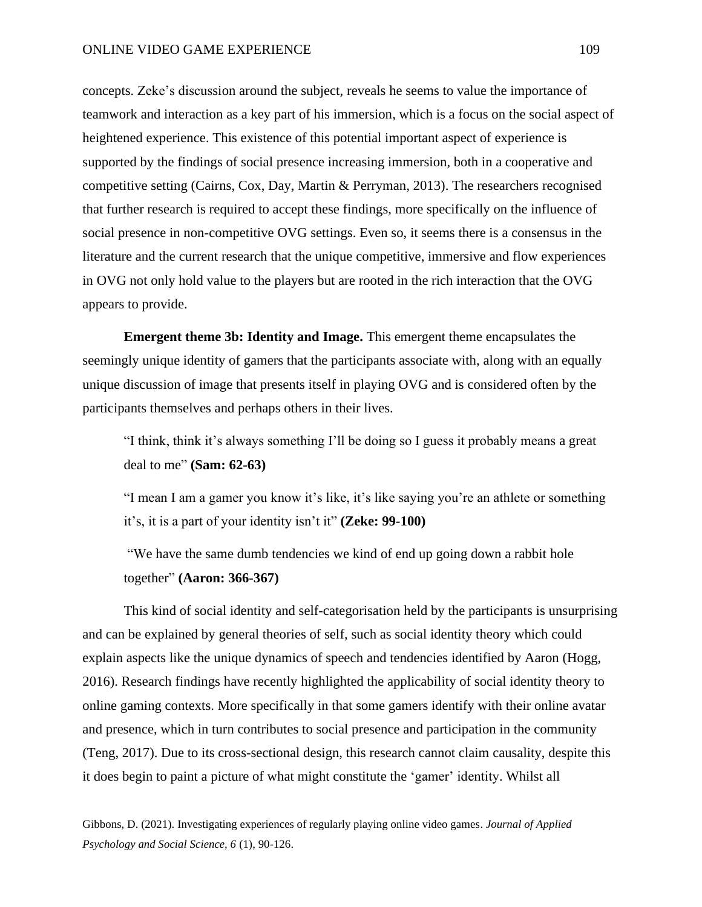concepts. Zeke's discussion around the subject, reveals he seems to value the importance of teamwork and interaction as a key part of his immersion, which is a focus on the social aspect of heightened experience. This existence of this potential important aspect of experience is supported by the findings of social presence increasing immersion, both in a cooperative and competitive setting (Cairns, Cox, Day, Martin & Perryman, 2013). The researchers recognised that further research is required to accept these findings, more specifically on the influence of social presence in non-competitive OVG settings. Even so, it seems there is a consensus in the literature and the current research that the unique competitive, immersive and flow experiences in OVG not only hold value to the players but are rooted in the rich interaction that the OVG appears to provide.

**Emergent theme 3b: Identity and Image.** This emergent theme encapsulates the seemingly unique identity of gamers that the participants associate with, along with an equally unique discussion of image that presents itself in playing OVG and is considered often by the participants themselves and perhaps others in their lives.

"I think, think it's always something I'll be doing so I guess it probably means a great deal to me" **(Sam: 62-63)**

"I mean I am a gamer you know it's like, it's like saying you're an athlete or something it's, it is a part of your identity isn't it" **(Zeke: 99-100)**

"We have the same dumb tendencies we kind of end up going down a rabbit hole together" **(Aaron: 366-367)**

This kind of social identity and self-categorisation held by the participants is unsurprising and can be explained by general theories of self, such as social identity theory which could explain aspects like the unique dynamics of speech and tendencies identified by Aaron (Hogg, 2016). Research findings have recently highlighted the applicability of social identity theory to online gaming contexts. More specifically in that some gamers identify with their online avatar and presence, which in turn contributes to social presence and participation in the community (Teng, 2017). Due to its cross-sectional design, this research cannot claim causality, despite this it does begin to paint a picture of what might constitute the 'gamer' identity. Whilst all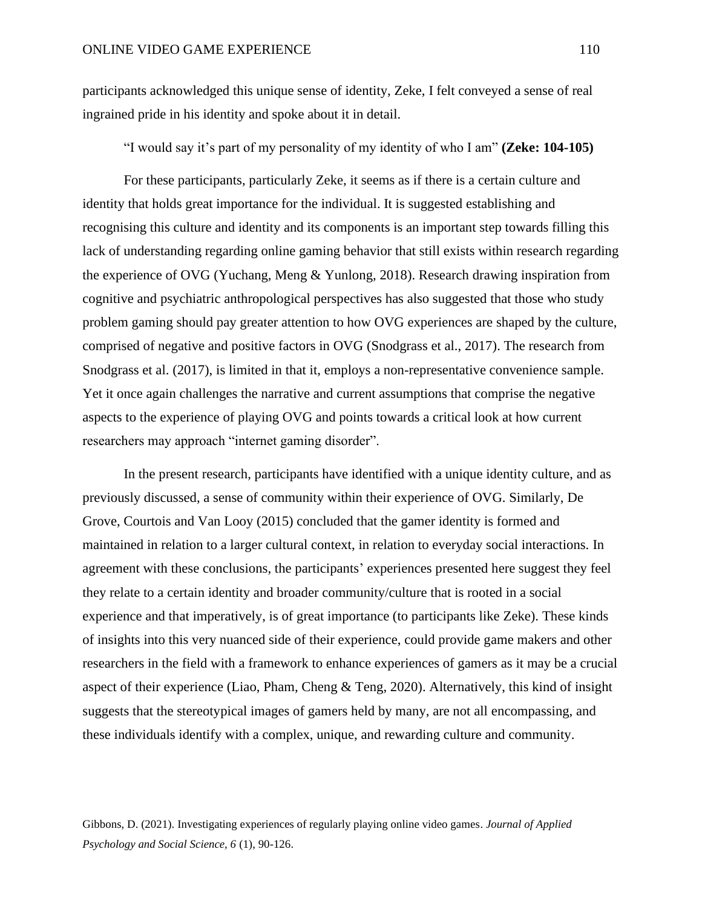participants acknowledged this unique sense of identity, Zeke, I felt conveyed a sense of real ingrained pride in his identity and spoke about it in detail.

"I would say it's part of my personality of my identity of who I am" **(Zeke: 104-105)**

For these participants, particularly Zeke, it seems as if there is a certain culture and identity that holds great importance for the individual. It is suggested establishing and recognising this culture and identity and its components is an important step towards filling this lack of understanding regarding online gaming behavior that still exists within research regarding the experience of OVG (Yuchang, Meng & Yunlong, 2018). Research drawing inspiration from cognitive and psychiatric anthropological perspectives has also suggested that those who study problem gaming should pay greater attention to how OVG experiences are shaped by the culture, comprised of negative and positive factors in OVG (Snodgrass et al., 2017). The research from Snodgrass et al. (2017), is limited in that it, employs a non-representative convenience sample. Yet it once again challenges the narrative and current assumptions that comprise the negative aspects to the experience of playing OVG and points towards a critical look at how current researchers may approach "internet gaming disorder".

In the present research, participants have identified with a unique identity culture, and as previously discussed, a sense of community within their experience of OVG. Similarly, De Grove, Courtois and Van Looy (2015) concluded that the gamer identity is formed and maintained in relation to a larger cultural context, in relation to everyday social interactions. In agreement with these conclusions, the participants' experiences presented here suggest they feel they relate to a certain identity and broader community/culture that is rooted in a social experience and that imperatively, is of great importance (to participants like Zeke). These kinds of insights into this very nuanced side of their experience, could provide game makers and other researchers in the field with a framework to enhance experiences of gamers as it may be a crucial aspect of their experience (Liao, Pham, Cheng & Teng, 2020). Alternatively, this kind of insight suggests that the stereotypical images of gamers held by many, are not all encompassing, and these individuals identify with a complex, unique, and rewarding culture and community.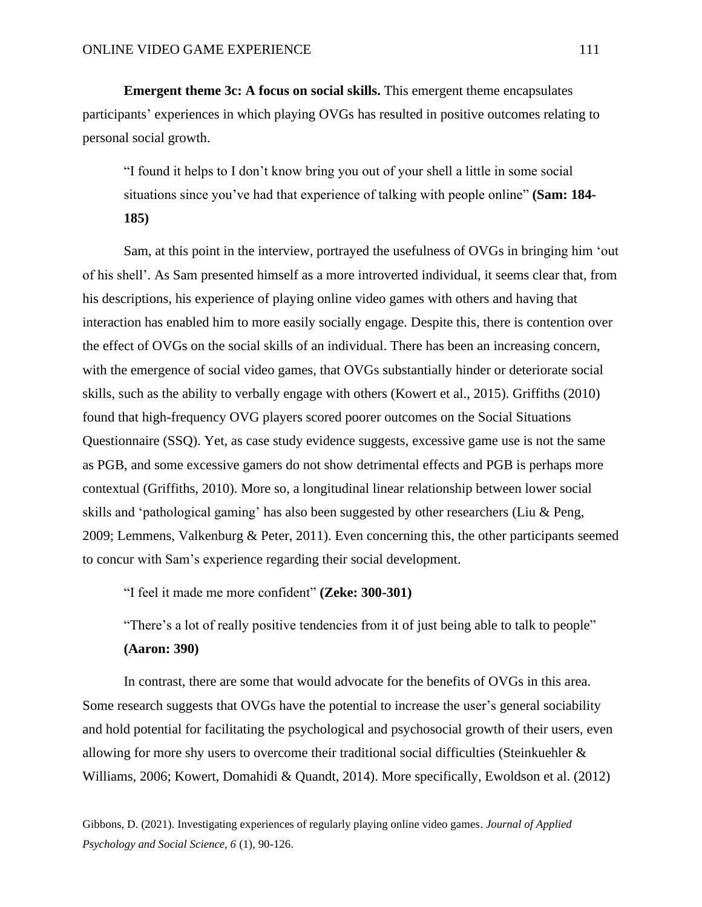**Emergent theme 3c: A focus on social skills.** This emergent theme encapsulates participants' experiences in which playing OVGs has resulted in positive outcomes relating to personal social growth.

"I found it helps to I don't know bring you out of your shell a little in some social situations since you've had that experience of talking with people online" **(Sam: 184- 185)**

Sam, at this point in the interview, portrayed the usefulness of OVGs in bringing him 'out of his shell'. As Sam presented himself as a more introverted individual, it seems clear that, from his descriptions, his experience of playing online video games with others and having that interaction has enabled him to more easily socially engage. Despite this, there is contention over the effect of OVGs on the social skills of an individual. There has been an increasing concern, with the emergence of social video games, that OVGs substantially hinder or deteriorate social skills, such as the ability to verbally engage with others (Kowert et al., 2015). Griffiths (2010) found that high-frequency OVG players scored poorer outcomes on the Social Situations Questionnaire (SSQ). Yet, as case study evidence suggests, excessive game use is not the same as PGB, and some excessive gamers do not show detrimental effects and PGB is perhaps more contextual (Griffiths, 2010). More so, a longitudinal linear relationship between lower social skills and 'pathological gaming' has also been suggested by other researchers (Liu & Peng, 2009; Lemmens, Valkenburg & Peter, 2011). Even concerning this, the other participants seemed to concur with Sam's experience regarding their social development.

"I feel it made me more confident" **(Zeke: 300-301)**

"There's a lot of really positive tendencies from it of just being able to talk to people" **(Aaron: 390)**

In contrast, there are some that would advocate for the benefits of OVGs in this area. Some research suggests that OVGs have the potential to increase the user's general sociability and hold potential for facilitating the psychological and psychosocial growth of their users, even allowing for more shy users to overcome their traditional social difficulties (Steinkuehler & Williams, 2006; Kowert, Domahidi & Quandt, 2014). More specifically, Ewoldson et al. (2012)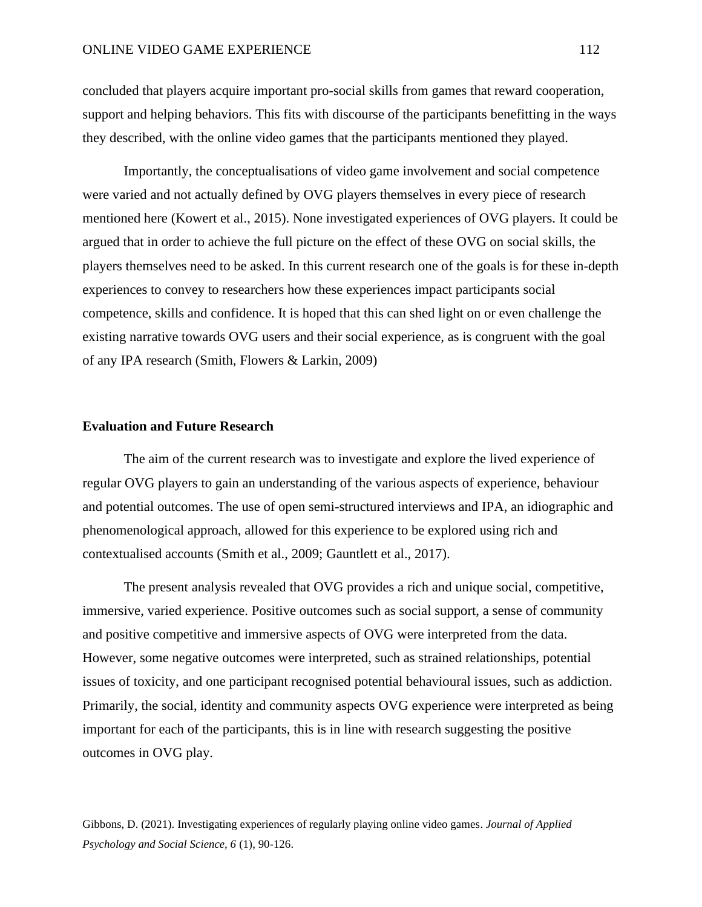concluded that players acquire important pro-social skills from games that reward cooperation, support and helping behaviors. This fits with discourse of the participants benefitting in the ways they described, with the online video games that the participants mentioned they played.

Importantly, the conceptualisations of video game involvement and social competence were varied and not actually defined by OVG players themselves in every piece of research mentioned here (Kowert et al., 2015). None investigated experiences of OVG players. It could be argued that in order to achieve the full picture on the effect of these OVG on social skills, the players themselves need to be asked. In this current research one of the goals is for these in-depth experiences to convey to researchers how these experiences impact participants social competence, skills and confidence. It is hoped that this can shed light on or even challenge the existing narrative towards OVG users and their social experience, as is congruent with the goal of any IPA research (Smith, Flowers & Larkin, 2009)

#### **Evaluation and Future Research**

The aim of the current research was to investigate and explore the lived experience of regular OVG players to gain an understanding of the various aspects of experience, behaviour and potential outcomes. The use of open semi-structured interviews and IPA, an idiographic and phenomenological approach, allowed for this experience to be explored using rich and contextualised accounts (Smith et al., 2009; Gauntlett et al., 2017).

The present analysis revealed that OVG provides a rich and unique social, competitive, immersive, varied experience. Positive outcomes such as social support, a sense of community and positive competitive and immersive aspects of OVG were interpreted from the data. However, some negative outcomes were interpreted, such as strained relationships, potential issues of toxicity, and one participant recognised potential behavioural issues, such as addiction. Primarily, the social, identity and community aspects OVG experience were interpreted as being important for each of the participants, this is in line with research suggesting the positive outcomes in OVG play.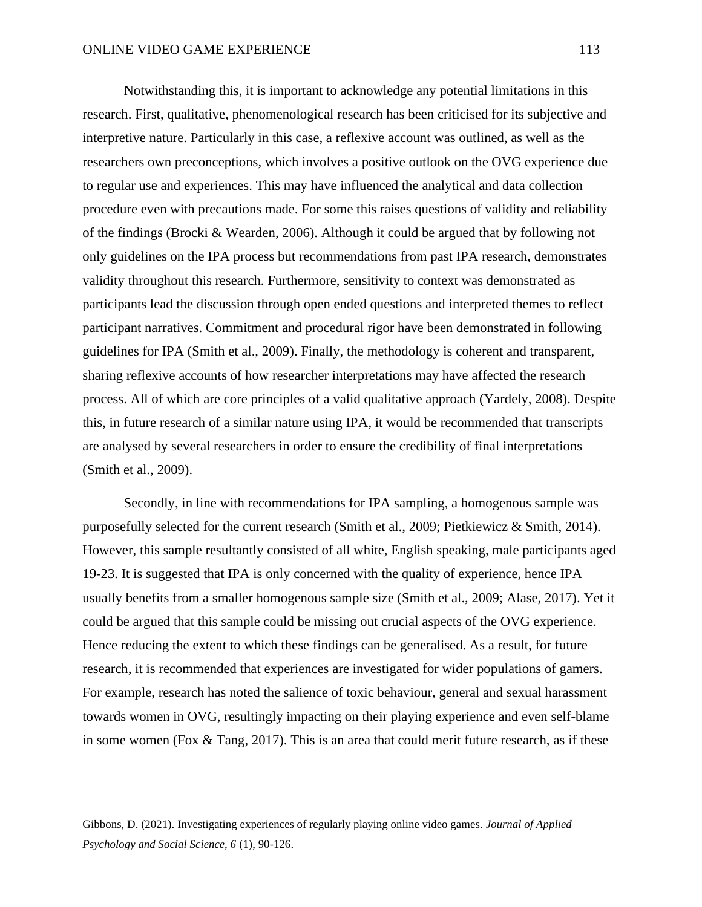Notwithstanding this, it is important to acknowledge any potential limitations in this research. First, qualitative, phenomenological research has been criticised for its subjective and interpretive nature. Particularly in this case, a reflexive account was outlined, as well as the researchers own preconceptions, which involves a positive outlook on the OVG experience due to regular use and experiences. This may have influenced the analytical and data collection procedure even with precautions made. For some this raises questions of validity and reliability of the findings (Brocki & Wearden, 2006). Although it could be argued that by following not only guidelines on the IPA process but recommendations from past IPA research, demonstrates validity throughout this research. Furthermore, sensitivity to context was demonstrated as participants lead the discussion through open ended questions and interpreted themes to reflect participant narratives. Commitment and procedural rigor have been demonstrated in following guidelines for IPA (Smith et al., 2009). Finally, the methodology is coherent and transparent, sharing reflexive accounts of how researcher interpretations may have affected the research process. All of which are core principles of a valid qualitative approach (Yardely, 2008). Despite this, in future research of a similar nature using IPA, it would be recommended that transcripts are analysed by several researchers in order to ensure the credibility of final interpretations (Smith et al., 2009).

Secondly, in line with recommendations for IPA sampling, a homogenous sample was purposefully selected for the current research (Smith et al., 2009; Pietkiewicz & Smith, 2014). However, this sample resultantly consisted of all white, English speaking, male participants aged 19-23. It is suggested that IPA is only concerned with the quality of experience, hence IPA usually benefits from a smaller homogenous sample size (Smith et al., 2009; Alase, 2017). Yet it could be argued that this sample could be missing out crucial aspects of the OVG experience. Hence reducing the extent to which these findings can be generalised. As a result, for future research, it is recommended that experiences are investigated for wider populations of gamers. For example, research has noted the salience of toxic behaviour, general and sexual harassment towards women in OVG, resultingly impacting on their playing experience and even self-blame in some women (Fox  $\&$  Tang, 2017). This is an area that could merit future research, as if these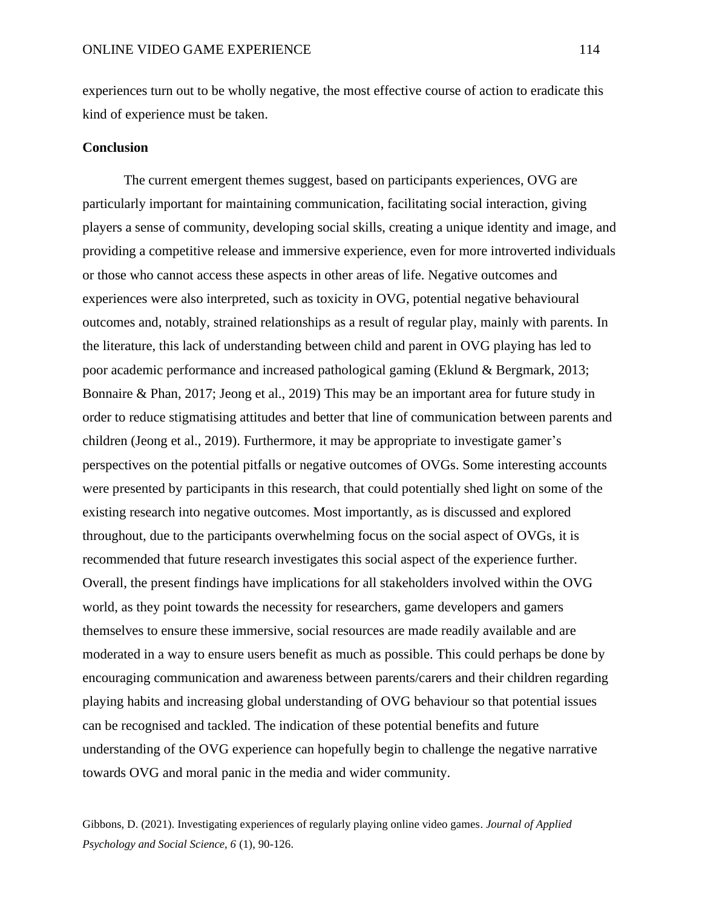experiences turn out to be wholly negative, the most effective course of action to eradicate this kind of experience must be taken.

## **Conclusion**

The current emergent themes suggest, based on participants experiences, OVG are particularly important for maintaining communication, facilitating social interaction, giving players a sense of community, developing social skills, creating a unique identity and image, and providing a competitive release and immersive experience, even for more introverted individuals or those who cannot access these aspects in other areas of life. Negative outcomes and experiences were also interpreted, such as toxicity in OVG, potential negative behavioural outcomes and, notably, strained relationships as a result of regular play, mainly with parents. In the literature, this lack of understanding between child and parent in OVG playing has led to poor academic performance and increased pathological gaming (Eklund & Bergmark, 2013; Bonnaire & Phan, 2017; Jeong et al., 2019) This may be an important area for future study in order to reduce stigmatising attitudes and better that line of communication between parents and children (Jeong et al., 2019). Furthermore, it may be appropriate to investigate gamer's perspectives on the potential pitfalls or negative outcomes of OVGs. Some interesting accounts were presented by participants in this research, that could potentially shed light on some of the existing research into negative outcomes. Most importantly, as is discussed and explored throughout, due to the participants overwhelming focus on the social aspect of OVGs, it is recommended that future research investigates this social aspect of the experience further. Overall, the present findings have implications for all stakeholders involved within the OVG world, as they point towards the necessity for researchers, game developers and gamers themselves to ensure these immersive, social resources are made readily available and are moderated in a way to ensure users benefit as much as possible. This could perhaps be done by encouraging communication and awareness between parents/carers and their children regarding playing habits and increasing global understanding of OVG behaviour so that potential issues can be recognised and tackled. The indication of these potential benefits and future understanding of the OVG experience can hopefully begin to challenge the negative narrative towards OVG and moral panic in the media and wider community.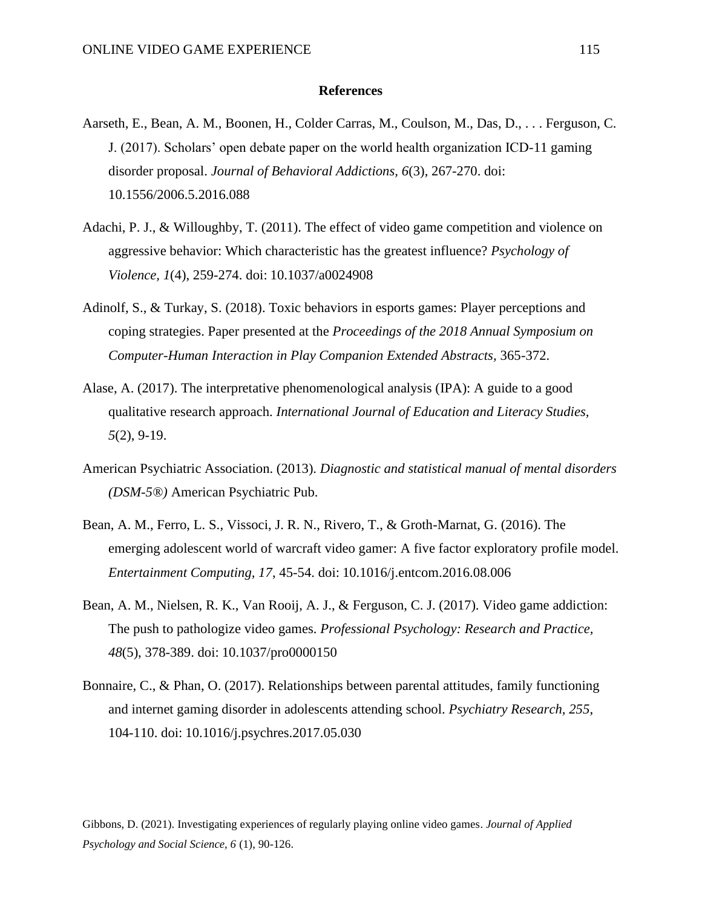## **References**

- Aarseth, E., Bean, A. M., Boonen, H., Colder Carras, M., Coulson, M., Das, D., . . . Ferguson, C. J. (2017). Scholars' open debate paper on the world health organization ICD-11 gaming disorder proposal. *Journal of Behavioral Addictions, 6*(3), 267-270. doi: 10.1556/2006.5.2016.088
- Adachi, P. J., & Willoughby, T. (2011). The effect of video game competition and violence on aggressive behavior: Which characteristic has the greatest influence? *Psychology of Violence, 1*(4), 259-274. doi: 10.1037/a0024908
- Adinolf, S., & Turkay, S. (2018). Toxic behaviors in esports games: Player perceptions and coping strategies. Paper presented at the *Proceedings of the 2018 Annual Symposium on Computer-Human Interaction in Play Companion Extended Abstracts,* 365-372.
- Alase, A. (2017). The interpretative phenomenological analysis (IPA): A guide to a good qualitative research approach. *International Journal of Education and Literacy Studies, 5*(2), 9-19.
- American Psychiatric Association. (2013). *Diagnostic and statistical manual of mental disorders (DSM-5®)* American Psychiatric Pub.
- Bean, A. M., Ferro, L. S., Vissoci, J. R. N., Rivero, T., & Groth-Marnat, G. (2016). The emerging adolescent world of warcraft video gamer: A five factor exploratory profile model. *Entertainment Computing, 17*, 45-54. doi: 10.1016/j.entcom.2016.08.006
- Bean, A. M., Nielsen, R. K., Van Rooij, A. J., & Ferguson, C. J. (2017). Video game addiction: The push to pathologize video games. *Professional Psychology: Research and Practice, 48*(5), 378-389. doi: 10.1037/pro0000150
- Bonnaire, C., & Phan, O. (2017). Relationships between parental attitudes, family functioning and internet gaming disorder in adolescents attending school. *Psychiatry Research, 255*, 104-110. doi: 10.1016/j.psychres.2017.05.030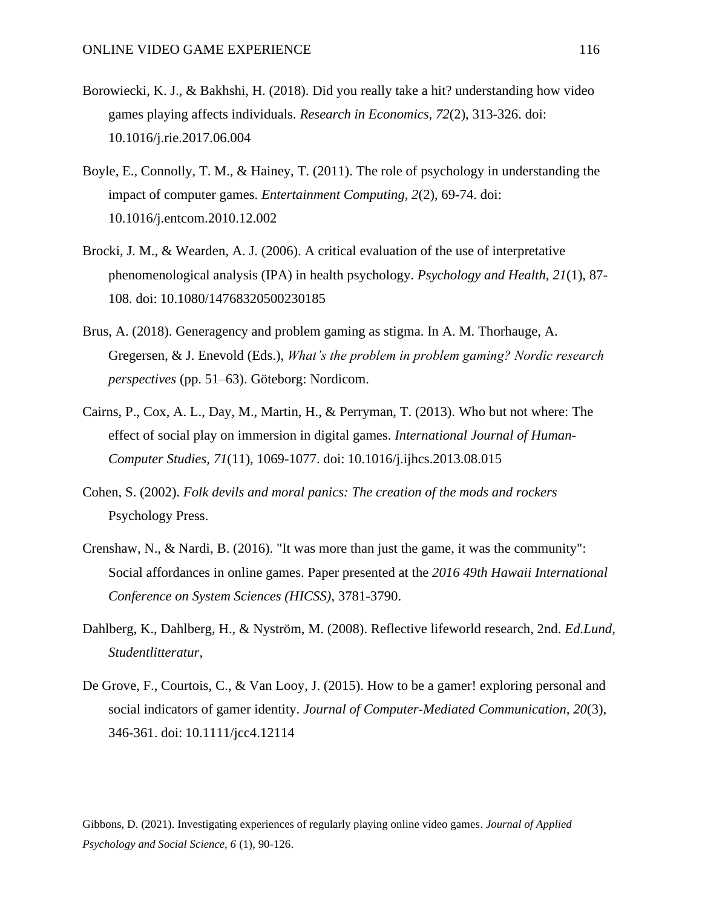- Borowiecki, K. J., & Bakhshi, H. (2018). Did you really take a hit? understanding how video games playing affects individuals. *Research in Economics, 72*(2), 313-326. doi: 10.1016/j.rie.2017.06.004
- Boyle, E., Connolly, T. M., & Hainey, T. (2011). The role of psychology in understanding the impact of computer games. *Entertainment Computing, 2*(2), 69-74. doi: 10.1016/j.entcom.2010.12.002
- Brocki, J. M., & Wearden, A. J. (2006). A critical evaluation of the use of interpretative phenomenological analysis (IPA) in health psychology. *Psychology and Health, 21*(1), 87- 108. doi: 10.1080/14768320500230185
- Brus, A. (2018). Generagency and problem gaming as stigma. In A. M. Thorhauge, A. Gregersen, & J. Enevold (Eds.), *What's the problem in problem gaming? Nordic research perspectives* (pp. 51–63). Göteborg: Nordicom.
- Cairns, P., Cox, A. L., Day, M., Martin, H., & Perryman, T. (2013). Who but not where: The effect of social play on immersion in digital games. *International Journal of Human-Computer Studies, 71*(11), 1069-1077. doi: 10.1016/j.ijhcs.2013.08.015
- Cohen, S. (2002). *Folk devils and moral panics: The creation of the mods and rockers* Psychology Press.
- Crenshaw, N., & Nardi, B. (2016). "It was more than just the game, it was the community": Social affordances in online games. Paper presented at the *2016 49th Hawaii International Conference on System Sciences (HICSS),* 3781-3790.
- Dahlberg, K., Dahlberg, H., & Nyström, M. (2008). Reflective lifeworld research, 2nd. *Ed.Lund, Studentlitteratur,*
- De Grove, F., Courtois, C., & Van Looy, J. (2015). How to be a gamer! exploring personal and social indicators of gamer identity. *Journal of Computer-Mediated Communication, 20*(3), 346-361. doi: 10.1111/jcc4.12114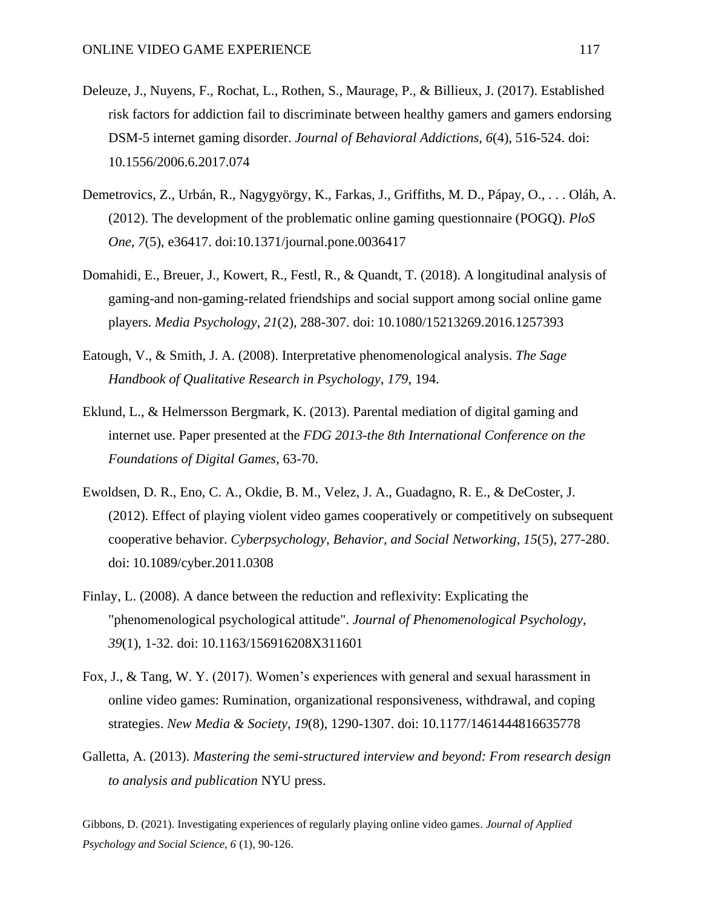- Deleuze, J., Nuyens, F., Rochat, L., Rothen, S., Maurage, P., & Billieux, J. (2017). Established risk factors for addiction fail to discriminate between healthy gamers and gamers endorsing DSM-5 internet gaming disorder. *Journal of Behavioral Addictions, 6*(4), 516-524. doi: 10.1556/2006.6.2017.074
- Demetrovics, Z., Urbán, R., Nagygyörgy, K., Farkas, J., Griffiths, M. D., Pápay, O., . . . Oláh, A. (2012). The development of the problematic online gaming questionnaire (POGQ). *PloS One, 7*(5), e36417. doi:10.1371/journal.pone.0036417
- Domahidi, E., Breuer, J., Kowert, R., Festl, R., & Quandt, T. (2018). A longitudinal analysis of gaming-and non-gaming-related friendships and social support among social online game players. *Media Psychology, 21*(2), 288-307. doi: 10.1080/15213269.2016.1257393
- Eatough, V., & Smith, J. A. (2008). Interpretative phenomenological analysis. *The Sage Handbook of Qualitative Research in Psychology, 179*, 194.
- Eklund, L., & Helmersson Bergmark, K. (2013). Parental mediation of digital gaming and internet use. Paper presented at the *FDG 2013-the 8th International Conference on the Foundations of Digital Games,* 63-70.
- Ewoldsen, D. R., Eno, C. A., Okdie, B. M., Velez, J. A., Guadagno, R. E., & DeCoster, J. (2012). Effect of playing violent video games cooperatively or competitively on subsequent cooperative behavior. *Cyberpsychology, Behavior, and Social Networking, 15*(5), 277-280. doi: 10.1089/cyber.2011.0308
- Finlay, L. (2008). A dance between the reduction and reflexivity: Explicating the "phenomenological psychological attitude". *Journal of Phenomenological Psychology, 39*(1), 1-32. doi: 10.1163/156916208X311601
- Fox, J., & Tang, W. Y. (2017). Women's experiences with general and sexual harassment in online video games: Rumination, organizational responsiveness, withdrawal, and coping strategies. *New Media & Society, 19*(8), 1290-1307. doi: 10.1177/1461444816635778
- Galletta, A. (2013). *Mastering the semi-structured interview and beyond: From research design to analysis and publication* NYU press.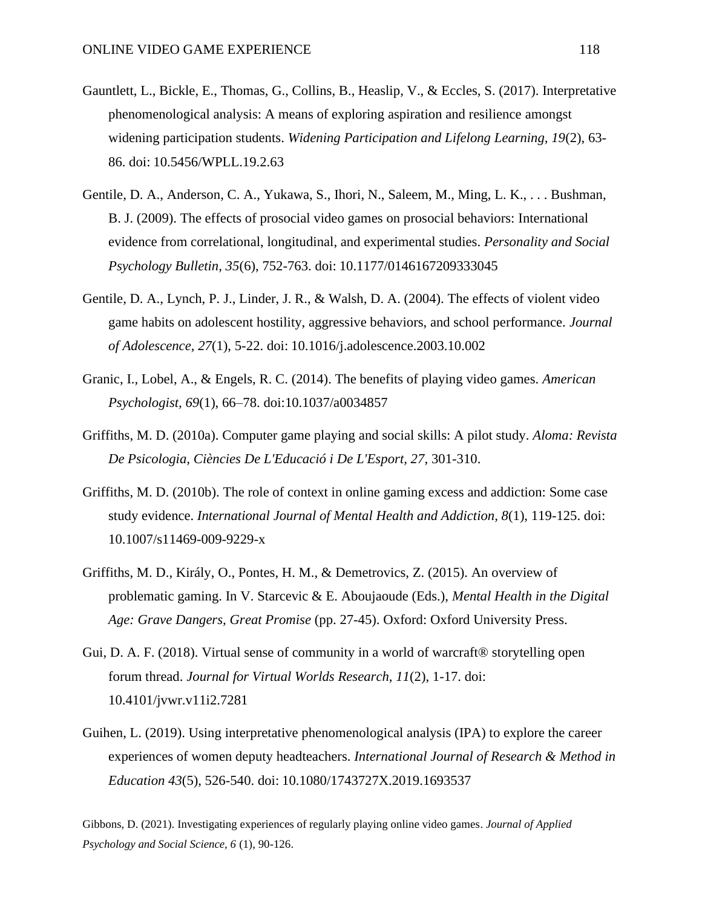- Gauntlett, L., Bickle, E., Thomas, G., Collins, B., Heaslip, V., & Eccles, S. (2017). Interpretative phenomenological analysis: A means of exploring aspiration and resilience amongst widening participation students. *Widening Participation and Lifelong Learning, 19*(2), 63- 86. doi: 10.5456/WPLL.19.2.63
- Gentile, D. A., Anderson, C. A., Yukawa, S., Ihori, N., Saleem, M., Ming, L. K., . . . Bushman, B. J. (2009). The effects of prosocial video games on prosocial behaviors: International evidence from correlational, longitudinal, and experimental studies. *Personality and Social Psychology Bulletin, 35*(6), 752-763. doi: 10.1177/0146167209333045
- Gentile, D. A., Lynch, P. J., Linder, J. R., & Walsh, D. A. (2004). The effects of violent video game habits on adolescent hostility, aggressive behaviors, and school performance. *Journal of Adolescence, 27*(1), 5-22. doi: 10.1016/j.adolescence.2003.10.002
- Granic, I., Lobel, A., & Engels, R. C. (2014). The benefits of playing video games. *American Psychologist, 69*(1), 66–78. doi:10.1037/a0034857
- Griffiths, M. D. (2010a). Computer game playing and social skills: A pilot study. *Aloma: Revista De Psicologia, Ciències De L'Educació i De L'Esport, 27*, 301-310.
- Griffiths, M. D. (2010b). The role of context in online gaming excess and addiction: Some case study evidence. *International Journal of Mental Health and Addiction, 8*(1), 119-125. doi: 10.1007/s11469-009-9229-x
- Griffiths, M. D., Király, O., Pontes, H. M., & Demetrovics, Z. (2015). An overview of problematic gaming. In V. Starcevic & E. Aboujaoude (Eds.), *Mental Health in the Digital Age: Grave Dangers, Great Promise* (pp. 27-45). Oxford: Oxford University Press.
- Gui, D. A. F. (2018). Virtual sense of community in a world of warcraft® storytelling open forum thread. *Journal for Virtual Worlds Research, 11*(2), 1-17. doi: 10.4101/jvwr.v11i2.7281
- Guihen, L. (2019). Using interpretative phenomenological analysis (IPA) to explore the career experiences of women deputy headteachers. *International Journal of Research & Method in Education 43*(5), 526-540. doi: 10.1080/1743727X.2019.1693537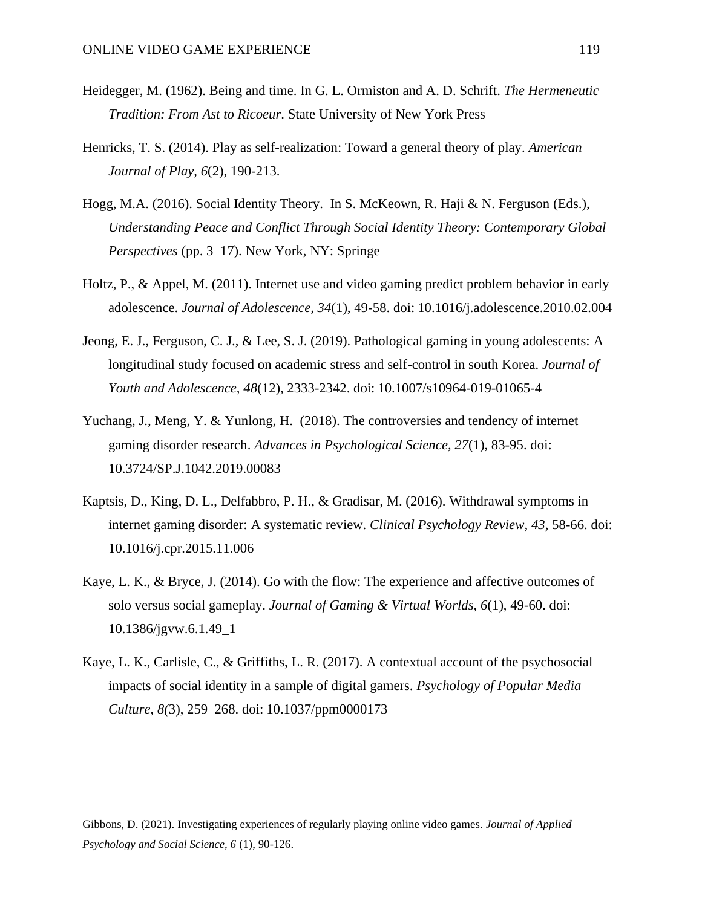- Heidegger, M. (1962). Being and time. In G. L. Ormiston and A. D. Schrift. *The Hermeneutic Tradition: From Ast to Ricoeur*. State University of New York Press
- Henricks, T. S. (2014). Play as self-realization: Toward a general theory of play. *American Journal of Play, 6*(2), 190-213.
- Hogg, M.A. (2016). Social Identity Theory. In S. McKeown, R. Haji & N. Ferguson (Eds.), *Understanding Peace and Conflict Through Social Identity Theory: Contemporary Global Perspectives* (pp. 3–17). New York, NY: Springe
- Holtz, P., & Appel, M. (2011). Internet use and video gaming predict problem behavior in early adolescence. *Journal of Adolescence, 34*(1), 49-58. doi: 10.1016/j.adolescence.2010.02.004
- Jeong, E. J., Ferguson, C. J., & Lee, S. J. (2019). Pathological gaming in young adolescents: A longitudinal study focused on academic stress and self-control in south Korea. *Journal of Youth and Adolescence, 48*(12), 2333-2342. doi: 10.1007/s10964-019-01065-4
- Yuchang, J., Meng, Y. & Yunlong, H. (2018). The controversies and tendency of internet gaming disorder research. *Advances in Psychological Science, 27*(1), 83-95. doi: 10.3724/SP.J.1042.2019.00083
- Kaptsis, D., King, D. L., Delfabbro, P. H., & Gradisar, M. (2016). Withdrawal symptoms in internet gaming disorder: A systematic review. *Clinical Psychology Review, 43*, 58-66. doi: 10.1016/j.cpr.2015.11.006
- Kaye, L. K., & Bryce, J. (2014). Go with the flow: The experience and affective outcomes of solo versus social gameplay. *Journal of Gaming & Virtual Worlds, 6*(1), 49-60. doi: 10.1386/jgvw.6.1.49\_1
- Kaye, L. K., Carlisle, C., & Griffiths, L. R. (2017). A contextual account of the psychosocial impacts of social identity in a sample of digital gamers. *Psychology of Popular Media Culture, 8(*3), 259–268. doi: 10.1037/ppm0000173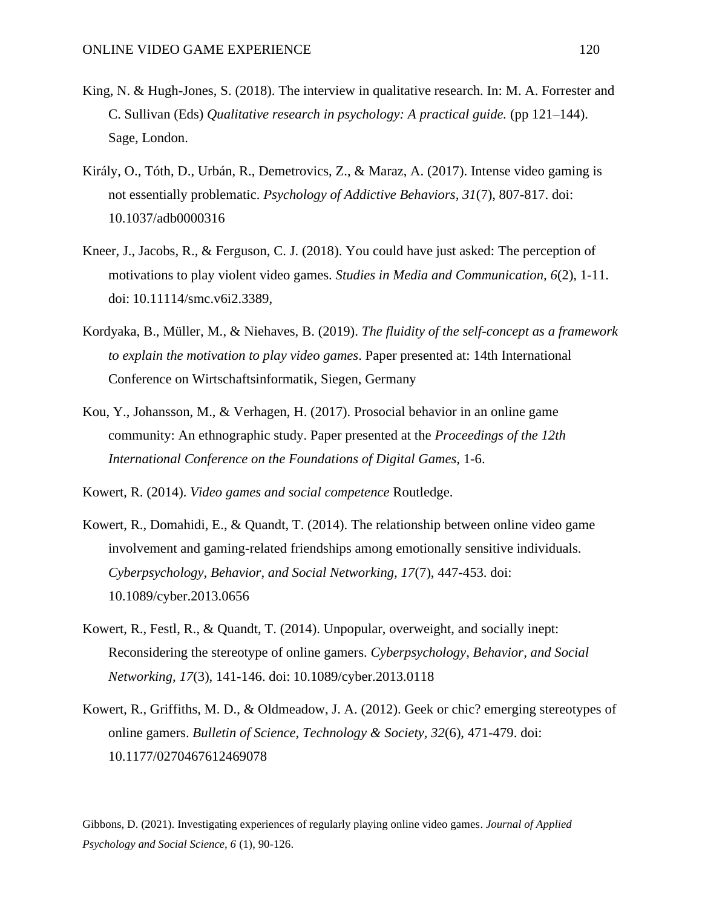- King, N. & Hugh-Jones, S. (2018). The interview in qualitative research. In: M. A. Forrester and C. Sullivan (Eds) *Qualitative research in psychology: A practical guide.* (pp 121–144). Sage, London.
- Király, O., Tóth, D., Urbán, R., Demetrovics, Z., & Maraz, A. (2017). Intense video gaming is not essentially problematic. *Psychology of Addictive Behaviors, 31*(7), 807-817. doi: 10.1037/adb0000316
- Kneer, J., Jacobs, R., & Ferguson, C. J. (2018). You could have just asked: The perception of motivations to play violent video games. *Studies in Media and Communication, 6*(2), 1-11. doi: 10.11114/smc.v6i2.3389,
- Kordyaka, B., Müller, M., & Niehaves, B. (2019). *The fluidity of the self-concept as a framework to explain the motivation to play video games*. Paper presented at: 14th International Conference on Wirtschaftsinformatik, Siegen, Germany
- Kou, Y., Johansson, M., & Verhagen, H. (2017). Prosocial behavior in an online game community: An ethnographic study. Paper presented at the *Proceedings of the 12th International Conference on the Foundations of Digital Games,* 1-6.

Kowert, R. (2014). *Video games and social competence* Routledge.

- Kowert, R., Domahidi, E., & Quandt, T. (2014). The relationship between online video game involvement and gaming-related friendships among emotionally sensitive individuals. *Cyberpsychology, Behavior, and Social Networking, 17*(7), 447-453. doi: 10.1089/cyber.2013.0656
- Kowert, R., Festl, R., & Quandt, T. (2014). Unpopular, overweight, and socially inept: Reconsidering the stereotype of online gamers. *Cyberpsychology, Behavior, and Social Networking, 17*(3), 141-146. doi: 10.1089/cyber.2013.0118
- Kowert, R., Griffiths, M. D., & Oldmeadow, J. A. (2012). Geek or chic? emerging stereotypes of online gamers. *Bulletin of Science, Technology & Society, 32*(6), 471-479. doi: 10.1177/0270467612469078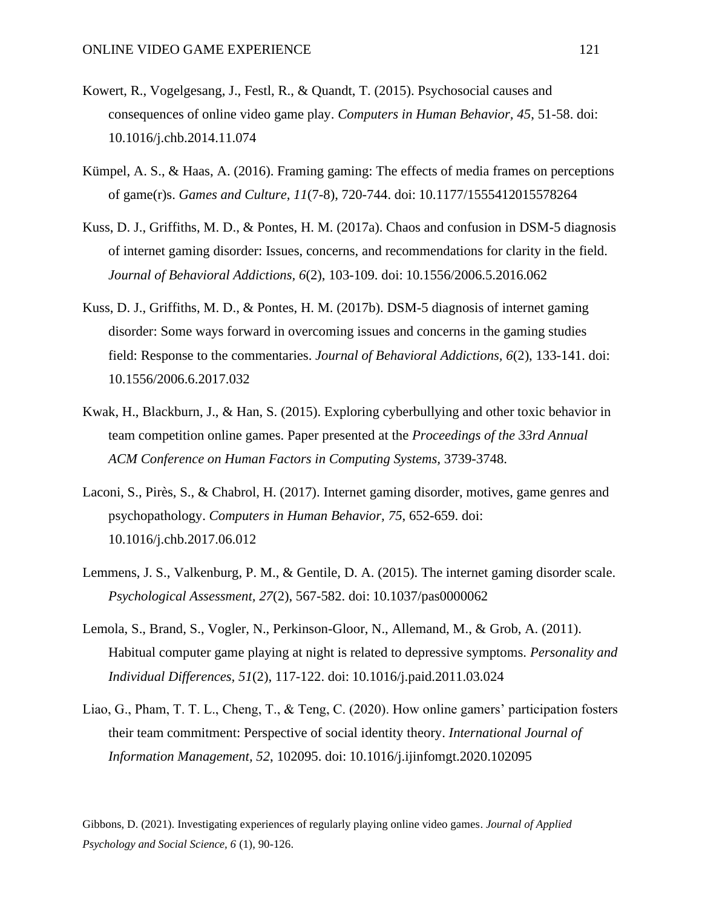- Kowert, R., Vogelgesang, J., Festl, R., & Quandt, T. (2015). Psychosocial causes and consequences of online video game play. *Computers in Human Behavior, 45*, 51-58. doi: 10.1016/j.chb.2014.11.074
- Kümpel, A. S., & Haas, A. (2016). Framing gaming: The effects of media frames on perceptions of game(r)s. *Games and Culture, 11*(7-8), 720-744. doi: 10.1177/1555412015578264
- Kuss, D. J., Griffiths, M. D., & Pontes, H. M. (2017a). Chaos and confusion in DSM-5 diagnosis of internet gaming disorder: Issues, concerns, and recommendations for clarity in the field. *Journal of Behavioral Addictions, 6*(2), 103-109. doi: 10.1556/2006.5.2016.062
- Kuss, D. J., Griffiths, M. D., & Pontes, H. M. (2017b). DSM-5 diagnosis of internet gaming disorder: Some ways forward in overcoming issues and concerns in the gaming studies field: Response to the commentaries. *Journal of Behavioral Addictions, 6*(2), 133-141. doi: 10.1556/2006.6.2017.032
- Kwak, H., Blackburn, J., & Han, S. (2015). Exploring cyberbullying and other toxic behavior in team competition online games. Paper presented at the *Proceedings of the 33rd Annual ACM Conference on Human Factors in Computing Systems,* 3739-3748.
- Laconi, S., Pirès, S., & Chabrol, H. (2017). Internet gaming disorder, motives, game genres and psychopathology. *Computers in Human Behavior, 75*, 652-659. doi: 10.1016/j.chb.2017.06.012
- Lemmens, J. S., Valkenburg, P. M., & Gentile, D. A. (2015). The internet gaming disorder scale. *Psychological Assessment, 27*(2), 567-582. doi: 10.1037/pas0000062
- Lemola, S., Brand, S., Vogler, N., Perkinson-Gloor, N., Allemand, M., & Grob, A. (2011). Habitual computer game playing at night is related to depressive symptoms. *Personality and Individual Differences, 51*(2), 117-122. doi: 10.1016/j.paid.2011.03.024
- Liao, G., Pham, T. T. L., Cheng, T., & Teng, C. (2020). How online gamers' participation fosters their team commitment: Perspective of social identity theory. *International Journal of Information Management, 52*, 102095. doi: 10.1016/j.ijinfomgt.2020.102095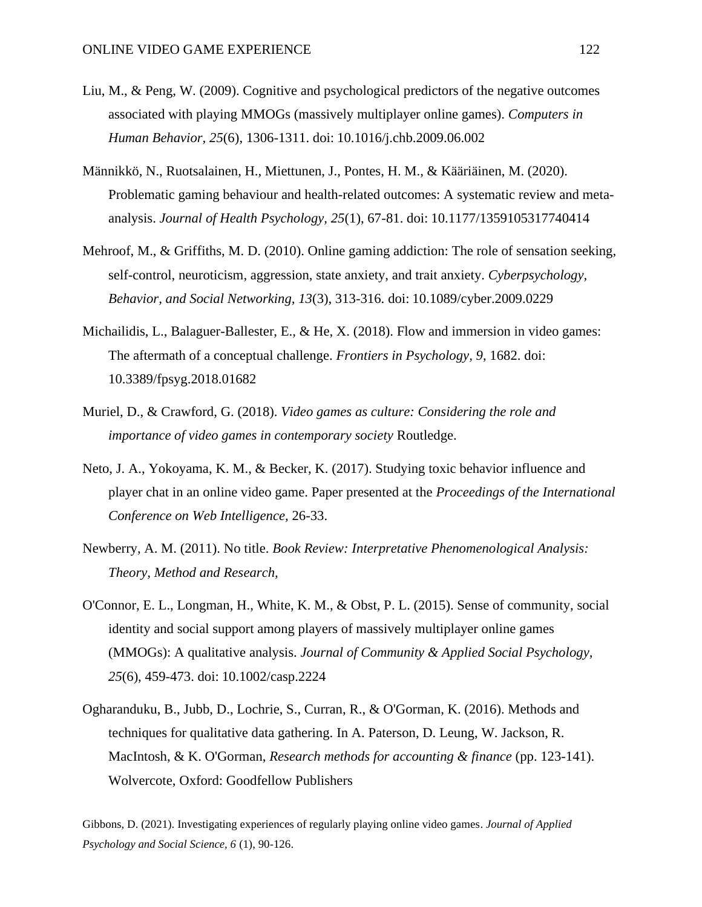- Liu, M., & Peng, W. (2009). Cognitive and psychological predictors of the negative outcomes associated with playing MMOGs (massively multiplayer online games). *Computers in Human Behavior, 25*(6), 1306-1311. doi: 10.1016/j.chb.2009.06.002
- Männikkö, N., Ruotsalainen, H., Miettunen, J., Pontes, H. M., & Kääriäinen, M. (2020). Problematic gaming behaviour and health-related outcomes: A systematic review and metaanalysis. *Journal of Health Psychology, 25*(1), 67-81. doi: 10.1177/1359105317740414
- Mehroof, M., & Griffiths, M. D. (2010). Online gaming addiction: The role of sensation seeking, self-control, neuroticism, aggression, state anxiety, and trait anxiety. *Cyberpsychology, Behavior, and Social Networking, 13*(3), 313-316. doi: 10.1089/cyber.2009.0229
- Michailidis, L., Balaguer-Ballester, E., & He, X. (2018). Flow and immersion in video games: The aftermath of a conceptual challenge. *Frontiers in Psychology, 9*, 1682. doi: 10.3389/fpsyg.2018.01682
- Muriel, D., & Crawford, G. (2018). *Video games as culture: Considering the role and importance of video games in contemporary society* Routledge.
- Neto, J. A., Yokoyama, K. M., & Becker, K. (2017). Studying toxic behavior influence and player chat in an online video game. Paper presented at the *Proceedings of the International Conference on Web Intelligence,* 26-33.
- Newberry, A. M. (2011). No title. *Book Review: Interpretative Phenomenological Analysis: Theory, Method and Research,*
- O'Connor, E. L., Longman, H., White, K. M., & Obst, P. L. (2015). Sense of community, social identity and social support among players of massively multiplayer online games (MMOGs): A qualitative analysis. *Journal of Community & Applied Social Psychology, 25*(6), 459-473. doi: 10.1002/casp.2224
- Ogharanduku, B., Jubb, D., Lochrie, S., Curran, R., & O'Gorman, K. (2016). Methods and techniques for qualitative data gathering. In A. Paterson, D. Leung, W. Jackson, R. MacIntosh, & K. O'Gorman, *Research methods for accounting & finance* (pp. 123-141). Wolvercote, Oxford: Goodfellow Publishers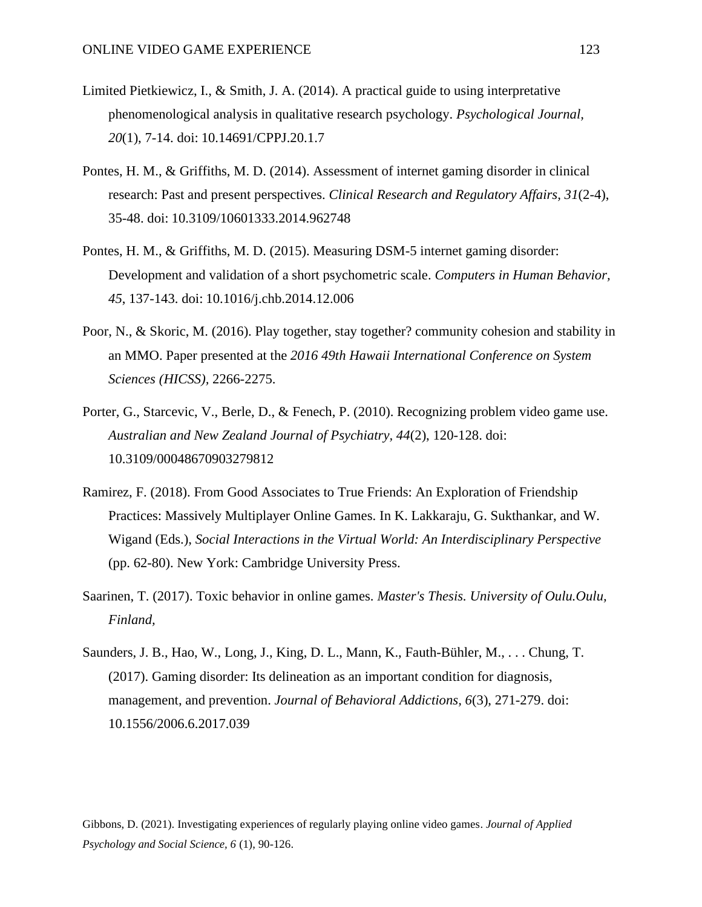- Limited Pietkiewicz, I., & Smith, J. A. (2014). A practical guide to using interpretative phenomenological analysis in qualitative research psychology. *Psychological Journal, 20*(1), 7-14. doi: 10.14691/CPPJ.20.1.7
- Pontes, H. M., & Griffiths, M. D. (2014). Assessment of internet gaming disorder in clinical research: Past and present perspectives. *Clinical Research and Regulatory Affairs, 31*(2-4), 35-48. doi: 10.3109/10601333.2014.962748
- Pontes, H. M., & Griffiths, M. D. (2015). Measuring DSM-5 internet gaming disorder: Development and validation of a short psychometric scale. *Computers in Human Behavior, 45*, 137-143. doi: 10.1016/j.chb.2014.12.006
- Poor, N., & Skoric, M. (2016). Play together, stay together? community cohesion and stability in an MMO. Paper presented at the *2016 49th Hawaii International Conference on System Sciences (HICSS),* 2266-2275.
- Porter, G., Starcevic, V., Berle, D., & Fenech, P. (2010). Recognizing problem video game use. *Australian and New Zealand Journal of Psychiatry, 44*(2), 120-128. doi: 10.3109/00048670903279812
- Ramirez, F. (2018). From Good Associates to True Friends: An Exploration of Friendship Practices: Massively Multiplayer Online Games. In K. Lakkaraju, G. Sukthankar, and W. Wigand (Eds.), *Social Interactions in the Virtual World: An Interdisciplinary Perspective* (pp. 62-80). New York: Cambridge University Press.
- Saarinen, T. (2017). Toxic behavior in online games. *Master's Thesis. University of Oulu.Oulu, Finland,*
- Saunders, J. B., Hao, W., Long, J., King, D. L., Mann, K., Fauth-Bühler, M., . . . Chung, T. (2017). Gaming disorder: Its delineation as an important condition for diagnosis, management, and prevention. *Journal of Behavioral Addictions, 6*(3), 271-279. doi: 10.1556/2006.6.2017.039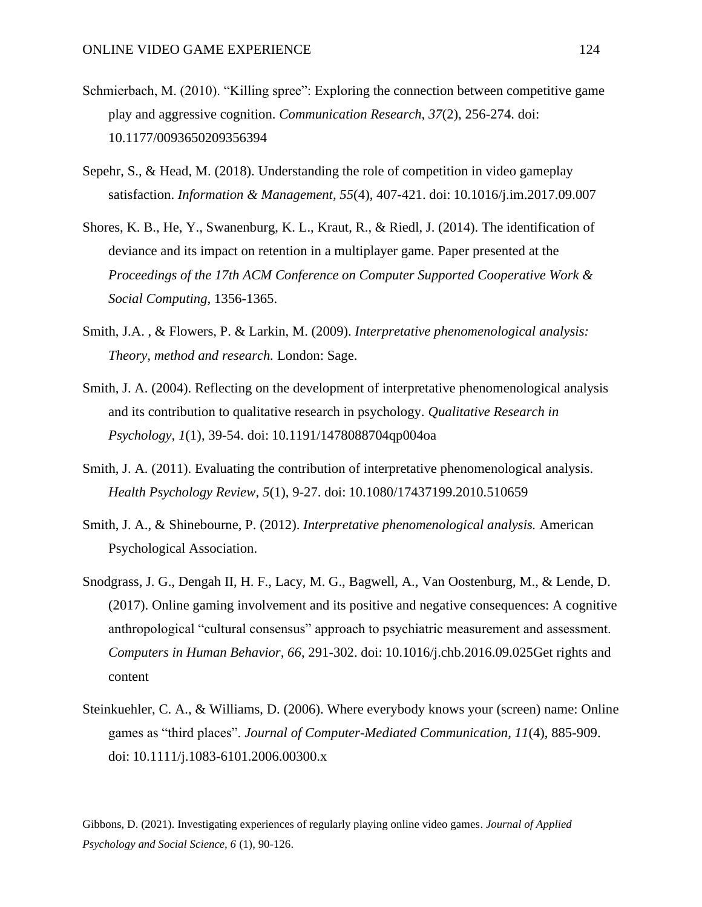- Schmierbach, M. (2010). "Killing spree": Exploring the connection between competitive game play and aggressive cognition. *Communication Research, 37*(2), 256-274. doi: 10.1177/0093650209356394
- Sepehr, S., & Head, M. (2018). Understanding the role of competition in video gameplay satisfaction. *Information & Management, 55*(4), 407-421. doi: 10.1016/j.im.2017.09.007
- Shores, K. B., He, Y., Swanenburg, K. L., Kraut, R., & Riedl, J. (2014). The identification of deviance and its impact on retention in a multiplayer game. Paper presented at the *Proceedings of the 17th ACM Conference on Computer Supported Cooperative Work & Social Computing,* 1356-1365.
- Smith, J.A. , & Flowers, P. & Larkin, M. (2009). *Interpretative phenomenological analysis: Theory, method and research.* London: Sage.
- Smith, J. A. (2004). Reflecting on the development of interpretative phenomenological analysis and its contribution to qualitative research in psychology. *Qualitative Research in Psychology, 1*(1), 39-54. doi: 10.1191/1478088704qp004oa
- Smith, J. A. (2011). Evaluating the contribution of interpretative phenomenological analysis. *Health Psychology Review, 5*(1), 9-27. doi: 10.1080/17437199.2010.510659
- Smith, J. A., & Shinebourne, P. (2012). *Interpretative phenomenological analysis.* American Psychological Association.
- Snodgrass, J. G., Dengah II, H. F., Lacy, M. G., Bagwell, A., Van Oostenburg, M., & Lende, D. (2017). Online gaming involvement and its positive and negative consequences: A cognitive anthropological "cultural consensus" approach to psychiatric measurement and assessment. *Computers in Human Behavior, 66*, 291-302. doi: 10.1016/j.chb.2016.09.025Get rights and content
- Steinkuehler, C. A., & Williams, D. (2006). Where everybody knows your (screen) name: Online games as "third places". *Journal of Computer-Mediated Communication, 11*(4), 885-909. doi: 10.1111/j.1083-6101.2006.00300.x